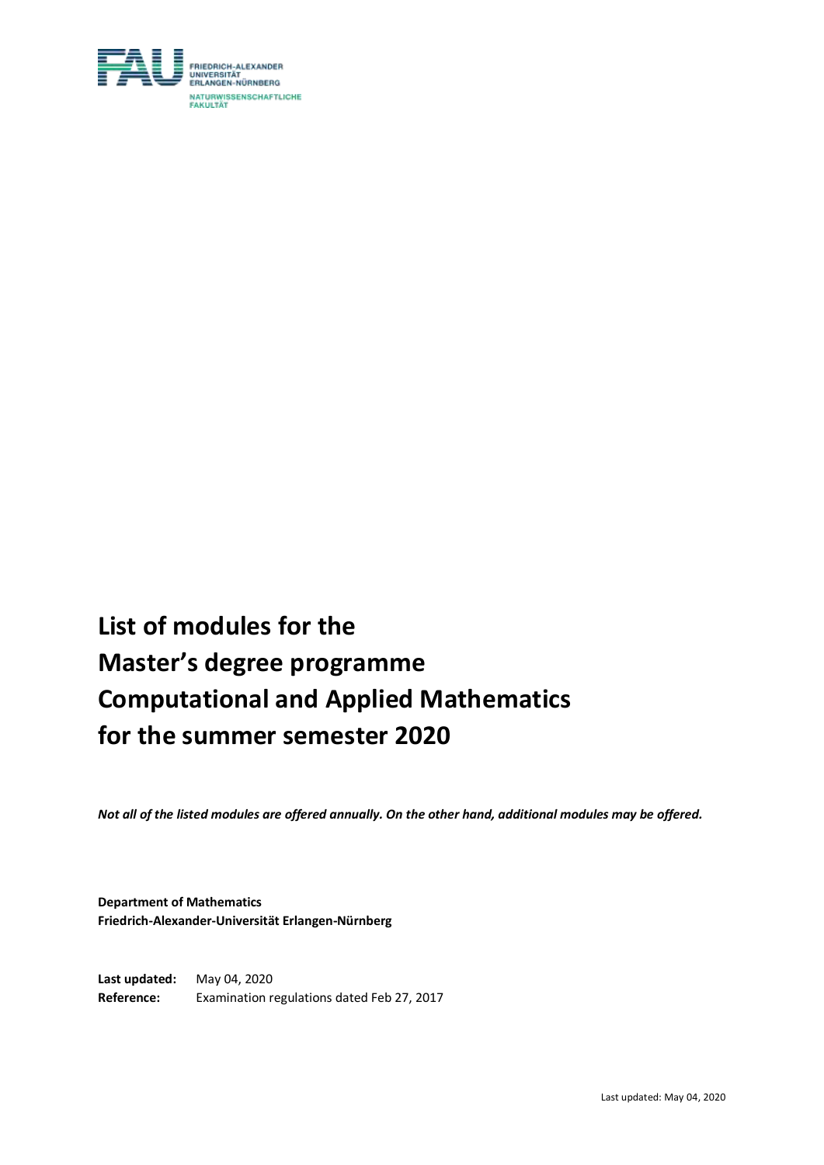

# **List of modules for the Master's degree programme Computational and Applied Mathematics for the summer semester 2020**

*Not all of the listed modules are offered annually. On the other hand, additional modules may be offered.*

**Department of Mathematics Friedrich-Alexander-Universität Erlangen-Nürnberg**

**Last updated:** May 04, 2020 **Reference:** Examination regulations dated Feb 27, 2017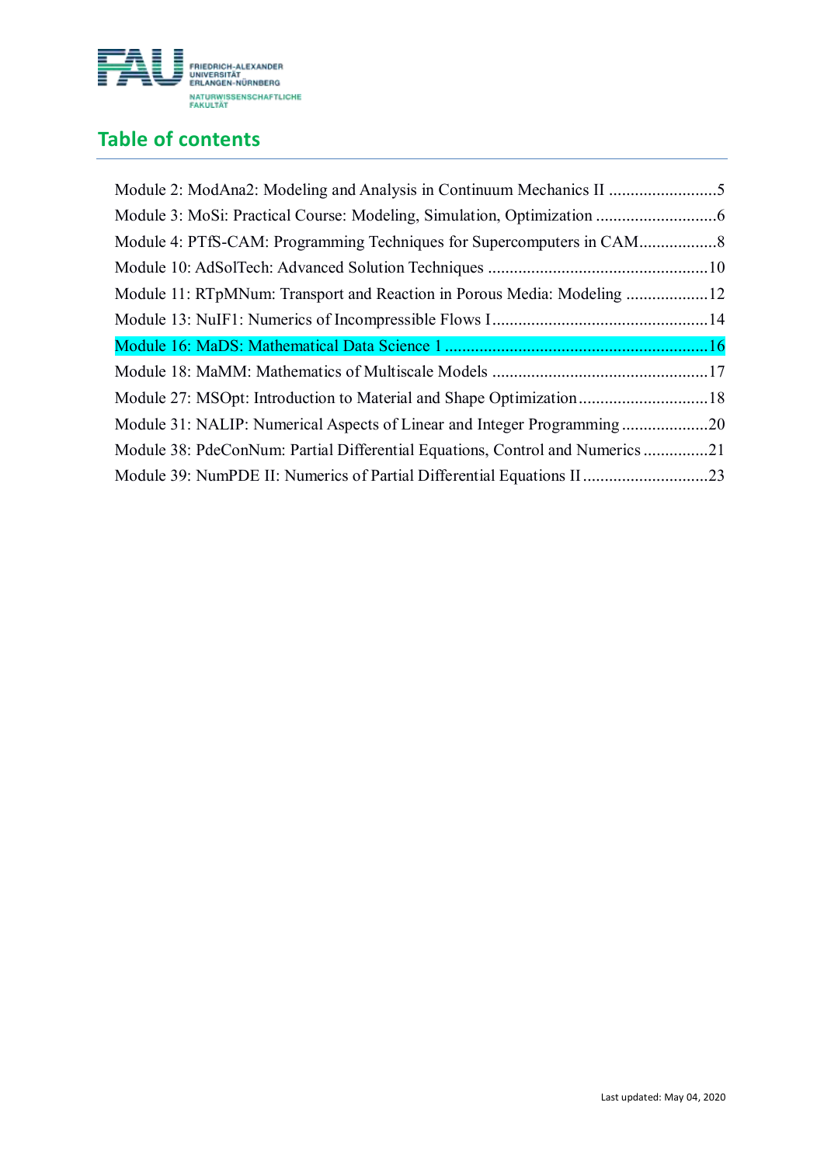

## **Table of contents**

| Module 2: ModAna2: Modeling and Analysis in Continuum Mechanics II 5          |  |
|-------------------------------------------------------------------------------|--|
|                                                                               |  |
|                                                                               |  |
|                                                                               |  |
| Module 11: RTpMNum: Transport and Reaction in Porous Media: Modeling 12       |  |
|                                                                               |  |
|                                                                               |  |
|                                                                               |  |
|                                                                               |  |
| Module 27: MSOpt: Introduction to Material and Shape Optimization18           |  |
| Module 31: NALIP: Numerical Aspects of Linear and Integer Programming20       |  |
| Module 38: PdeConNum: Partial Differential Equations, Control and Numerics 21 |  |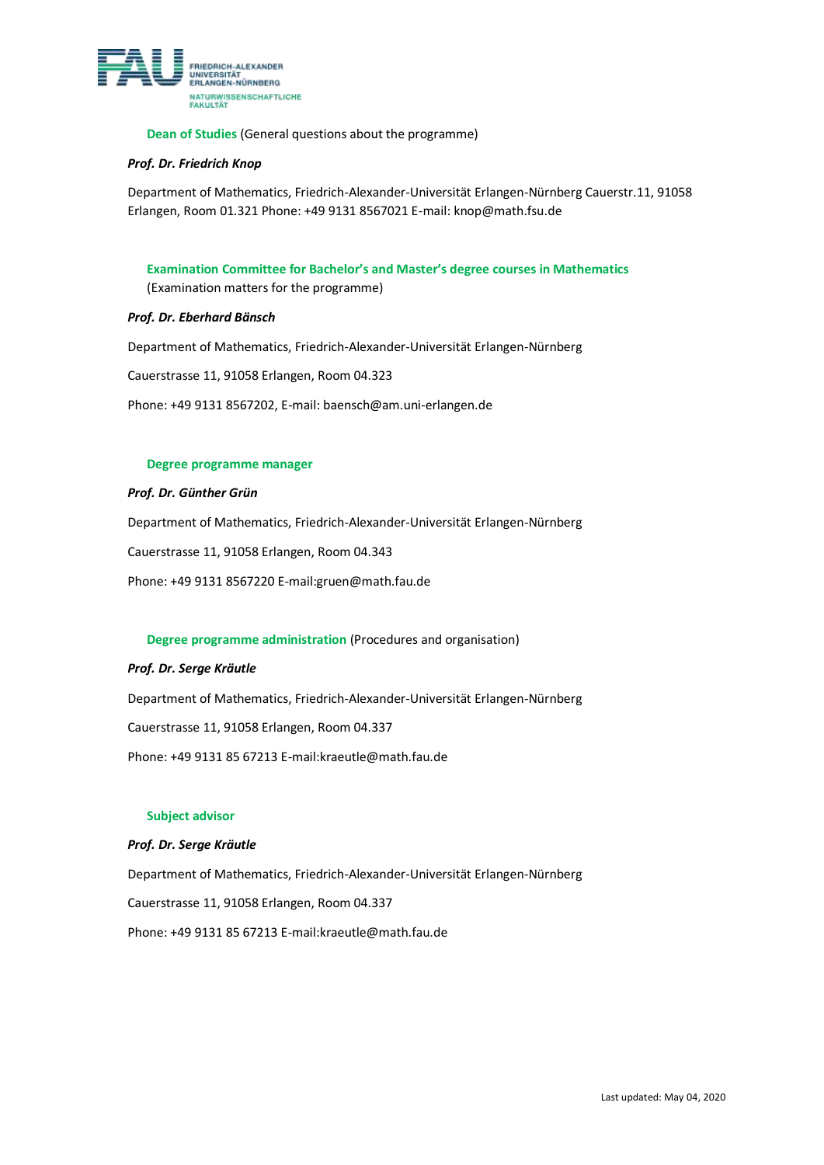

**Dean of Studies** (General questions about the programme)

#### *Prof. Dr. Friedrich Knop*

Department of Mathematics, Friedrich-Alexander-Universität Erlangen-Nürnberg Cauerstr.11, 91058 Erlangen, Room 01.321 Phone: +49 9131 8567021 E-mail[: knop@math.fsu.de](mailto:knop@math.fsu.de)

**Examination Committee for Bachelor's and Master's degree courses in Mathematics** (Examination matters for the programme)

#### *Prof. Dr. Eberhard Bänsch*

Department of Mathematics, Friedrich-Alexander-Universität Erlangen-Nürnberg

Cauerstrasse 11, 91058 Erlangen, Room 04.323

Phone: +49 9131 8567202, E-mail: baensch@am.uni-erlangen.de

#### **Degree programme manager**

#### *Prof. Dr. Günther Grün*

Department of Mathematics, Friedrich-Alexander-Universität Erlangen-Nürnberg

Cauerstrasse 11, 91058 Erlangen, Room 04.343

Phone: +49 9131 8567220 E-mail:gruen@math.fau.de

#### **Degree programme administration** (Procedures and organisation)

#### *Prof. Dr. Serge Kräutle*

Department of Mathematics, Friedrich-Alexander-Universität Erlangen-Nürnberg

Cauerstrasse 11, 91058 Erlangen, Room 04.337

Phone: +49 9131 85 67213 E-mail:kraeutle@math.fau.de

#### **Subject advisor**

#### *Prof. Dr. Serge Kräutle*

Department of Mathematics, Friedrich-Alexander-Universität Erlangen-Nürnberg Cauerstrasse 11, 91058 Erlangen, Room 04.337 Phone: +49 9131 85 67213 E-mail:kraeutle@math.fau.de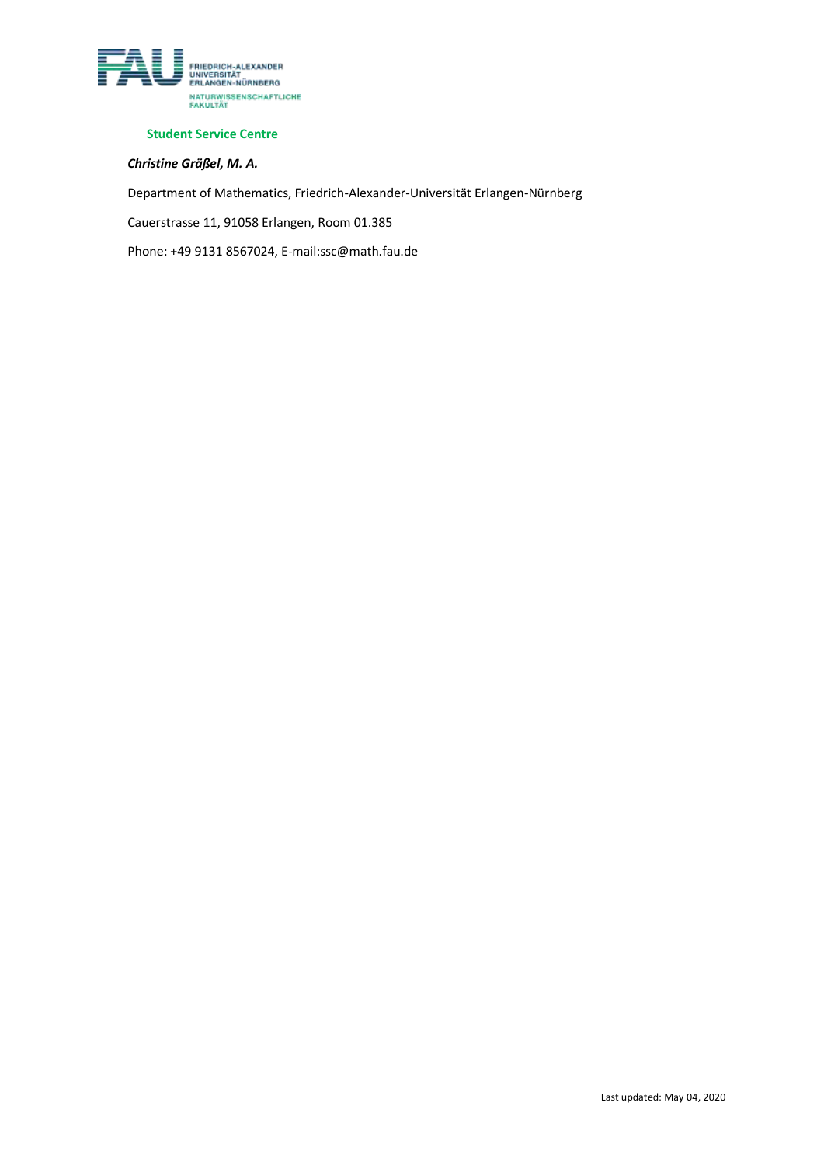

#### **Student Service Centre**

### *Christine Gräßel, M. A.*

Department of Mathematics, Friedrich-Alexander-Universität Erlangen-Nürnberg

Cauerstrasse 11, 91058 Erlangen, Room 01.385

Phone: +49 9131 8567024, E-mail:ssc@math.fau.de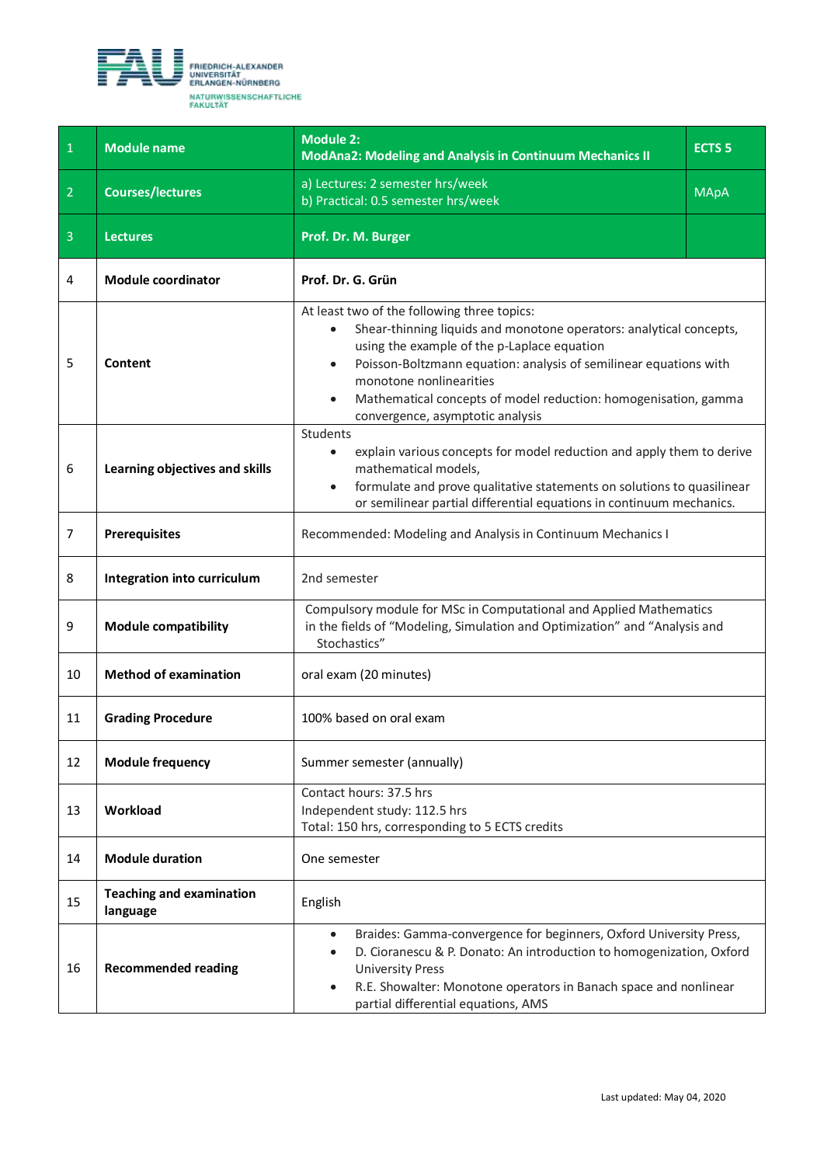<span id="page-4-0"></span>

| $\mathbf{1}$   | <b>Module name</b>                          | <b>Module 2:</b><br><b>ModAna2: Modeling and Analysis in Continuum Mechanics II</b>                                                                                                                                                                                                                                                                                                                | <b>ECTS 5</b> |
|----------------|---------------------------------------------|----------------------------------------------------------------------------------------------------------------------------------------------------------------------------------------------------------------------------------------------------------------------------------------------------------------------------------------------------------------------------------------------------|---------------|
| $\overline{2}$ | <b>Courses/lectures</b>                     | a) Lectures: 2 semester hrs/week<br>b) Practical: 0.5 semester hrs/week                                                                                                                                                                                                                                                                                                                            | <b>MApA</b>   |
| $\overline{3}$ | <b>Lectures</b>                             | Prof. Dr. M. Burger                                                                                                                                                                                                                                                                                                                                                                                |               |
| 4              | <b>Module coordinator</b>                   | Prof. Dr. G. Grün                                                                                                                                                                                                                                                                                                                                                                                  |               |
| 5              | Content                                     | At least two of the following three topics:<br>Shear-thinning liquids and monotone operators: analytical concepts,<br>$\bullet$<br>using the example of the p-Laplace equation<br>Poisson-Boltzmann equation: analysis of semilinear equations with<br>$\bullet$<br>monotone nonlinearities<br>Mathematical concepts of model reduction: homogenisation, gamma<br>convergence, asymptotic analysis |               |
| 6              | Learning objectives and skills              | Students<br>explain various concepts for model reduction and apply them to derive<br>$\bullet$<br>mathematical models,<br>formulate and prove qualitative statements on solutions to quasilinear<br>$\bullet$<br>or semilinear partial differential equations in continuum mechanics.                                                                                                              |               |
| 7              | <b>Prerequisites</b>                        | Recommended: Modeling and Analysis in Continuum Mechanics I                                                                                                                                                                                                                                                                                                                                        |               |
| 8              | Integration into curriculum                 | 2nd semester                                                                                                                                                                                                                                                                                                                                                                                       |               |
| 9              | <b>Module compatibility</b>                 | Compulsory module for MSc in Computational and Applied Mathematics<br>in the fields of "Modeling, Simulation and Optimization" and "Analysis and<br>Stochastics"                                                                                                                                                                                                                                   |               |
| 10             | <b>Method of examination</b>                | oral exam (20 minutes)                                                                                                                                                                                                                                                                                                                                                                             |               |
| 11             | <b>Grading Procedure</b>                    | 100% based on oral exam                                                                                                                                                                                                                                                                                                                                                                            |               |
| 12             | <b>Module frequency</b>                     | Summer semester (annually)                                                                                                                                                                                                                                                                                                                                                                         |               |
| 13             | Workload                                    | Contact hours: 37.5 hrs<br>Independent study: 112.5 hrs<br>Total: 150 hrs, corresponding to 5 ECTS credits                                                                                                                                                                                                                                                                                         |               |
| 14             | <b>Module duration</b>                      | One semester                                                                                                                                                                                                                                                                                                                                                                                       |               |
| 15             | <b>Teaching and examination</b><br>language | English                                                                                                                                                                                                                                                                                                                                                                                            |               |
| 16             | <b>Recommended reading</b>                  | Braides: Gamma-convergence for beginners, Oxford University Press,<br>$\bullet$<br>D. Cioranescu & P. Donato: An introduction to homogenization, Oxford<br>$\bullet$<br><b>University Press</b><br>R.E. Showalter: Monotone operators in Banach space and nonlinear<br>partial differential equations, AMS                                                                                         |               |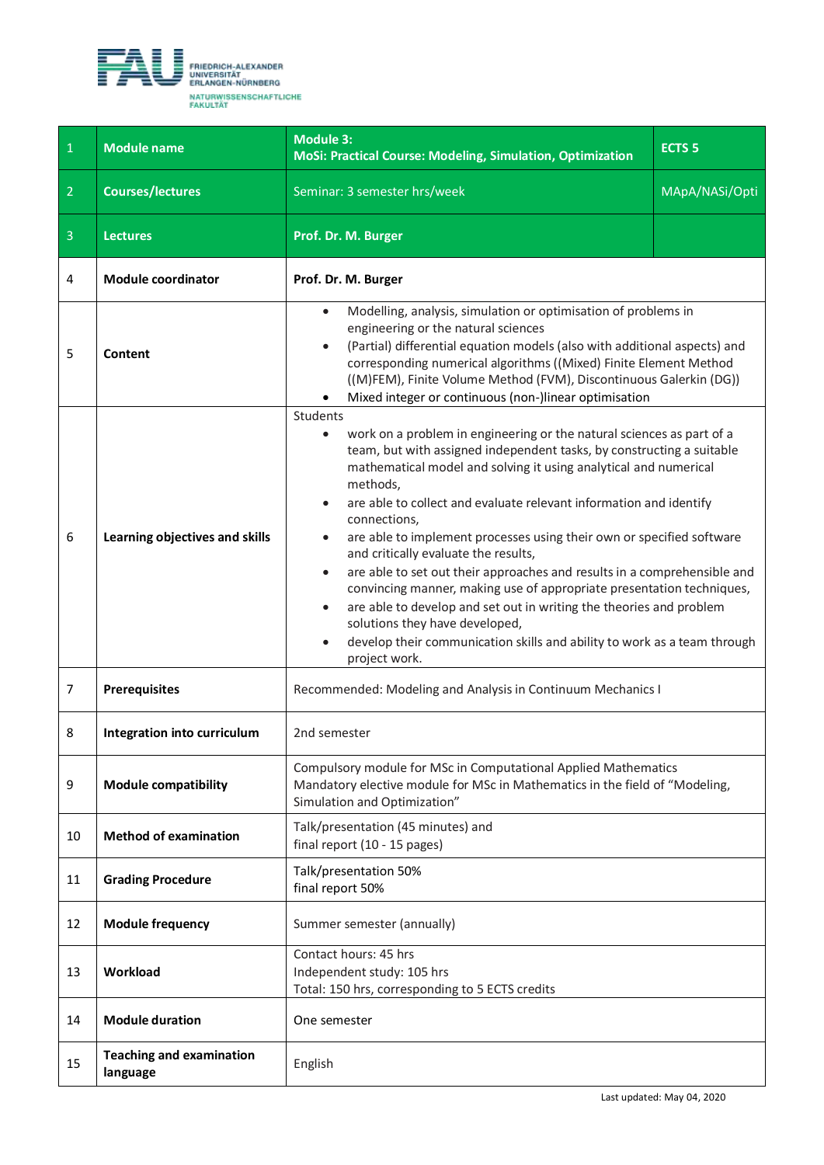<span id="page-5-0"></span>

| $\overline{1}$ | <b>Module name</b>                          | <b>Module 3:</b><br>MoSi: Practical Course: Modeling, Simulation, Optimization                                                                                                                                                                                                                                                                                                                                                                                                                                                                                                                                                                                                                                                                                                                                                                                                | <b>ECTS 5</b>  |
|----------------|---------------------------------------------|-------------------------------------------------------------------------------------------------------------------------------------------------------------------------------------------------------------------------------------------------------------------------------------------------------------------------------------------------------------------------------------------------------------------------------------------------------------------------------------------------------------------------------------------------------------------------------------------------------------------------------------------------------------------------------------------------------------------------------------------------------------------------------------------------------------------------------------------------------------------------------|----------------|
| $\overline{2}$ | <b>Courses/lectures</b>                     | Seminar: 3 semester hrs/week                                                                                                                                                                                                                                                                                                                                                                                                                                                                                                                                                                                                                                                                                                                                                                                                                                                  | MApA/NASi/Opti |
| $\overline{3}$ | <b>Lectures</b>                             | Prof. Dr. M. Burger                                                                                                                                                                                                                                                                                                                                                                                                                                                                                                                                                                                                                                                                                                                                                                                                                                                           |                |
| 4              | <b>Module coordinator</b>                   | Prof. Dr. M. Burger                                                                                                                                                                                                                                                                                                                                                                                                                                                                                                                                                                                                                                                                                                                                                                                                                                                           |                |
| 5              | Content                                     | Modelling, analysis, simulation or optimisation of problems in<br>$\bullet$<br>engineering or the natural sciences<br>(Partial) differential equation models (also with additional aspects) and<br>$\bullet$<br>corresponding numerical algorithms ((Mixed) Finite Element Method<br>((M)FEM), Finite Volume Method (FVM), Discontinuous Galerkin (DG))<br>Mixed integer or continuous (non-)linear optimisation                                                                                                                                                                                                                                                                                                                                                                                                                                                              |                |
| 6              | Learning objectives and skills              | Students<br>work on a problem in engineering or the natural sciences as part of a<br>$\bullet$<br>team, but with assigned independent tasks, by constructing a suitable<br>mathematical model and solving it using analytical and numerical<br>methods,<br>are able to collect and evaluate relevant information and identify<br>$\bullet$<br>connections,<br>are able to implement processes using their own or specified software<br>and critically evaluate the results,<br>are able to set out their approaches and results in a comprehensible and<br>$\bullet$<br>convincing manner, making use of appropriate presentation techniques,<br>are able to develop and set out in writing the theories and problem<br>$\bullet$<br>solutions they have developed,<br>develop their communication skills and ability to work as a team through<br>$\bullet$<br>project work. |                |
| $\overline{7}$ | <b>Prerequisites</b>                        | Recommended: Modeling and Analysis in Continuum Mechanics I                                                                                                                                                                                                                                                                                                                                                                                                                                                                                                                                                                                                                                                                                                                                                                                                                   |                |
| 8              | Integration into curriculum                 | 2nd semester                                                                                                                                                                                                                                                                                                                                                                                                                                                                                                                                                                                                                                                                                                                                                                                                                                                                  |                |
| 9              | <b>Module compatibility</b>                 | Compulsory module for MSc in Computational Applied Mathematics<br>Mandatory elective module for MSc in Mathematics in the field of "Modeling,<br>Simulation and Optimization"                                                                                                                                                                                                                                                                                                                                                                                                                                                                                                                                                                                                                                                                                                 |                |
| 10             | <b>Method of examination</b>                | Talk/presentation (45 minutes) and<br>final report (10 - 15 pages)                                                                                                                                                                                                                                                                                                                                                                                                                                                                                                                                                                                                                                                                                                                                                                                                            |                |
| 11             | <b>Grading Procedure</b>                    | Talk/presentation 50%<br>final report 50%                                                                                                                                                                                                                                                                                                                                                                                                                                                                                                                                                                                                                                                                                                                                                                                                                                     |                |
| 12             | <b>Module frequency</b>                     | Summer semester (annually)                                                                                                                                                                                                                                                                                                                                                                                                                                                                                                                                                                                                                                                                                                                                                                                                                                                    |                |
| 13             | Workload                                    | Contact hours: 45 hrs<br>Independent study: 105 hrs<br>Total: 150 hrs, corresponding to 5 ECTS credits                                                                                                                                                                                                                                                                                                                                                                                                                                                                                                                                                                                                                                                                                                                                                                        |                |
| 14             | <b>Module duration</b>                      | One semester                                                                                                                                                                                                                                                                                                                                                                                                                                                                                                                                                                                                                                                                                                                                                                                                                                                                  |                |
| 15             | <b>Teaching and examination</b><br>language | English                                                                                                                                                                                                                                                                                                                                                                                                                                                                                                                                                                                                                                                                                                                                                                                                                                                                       |                |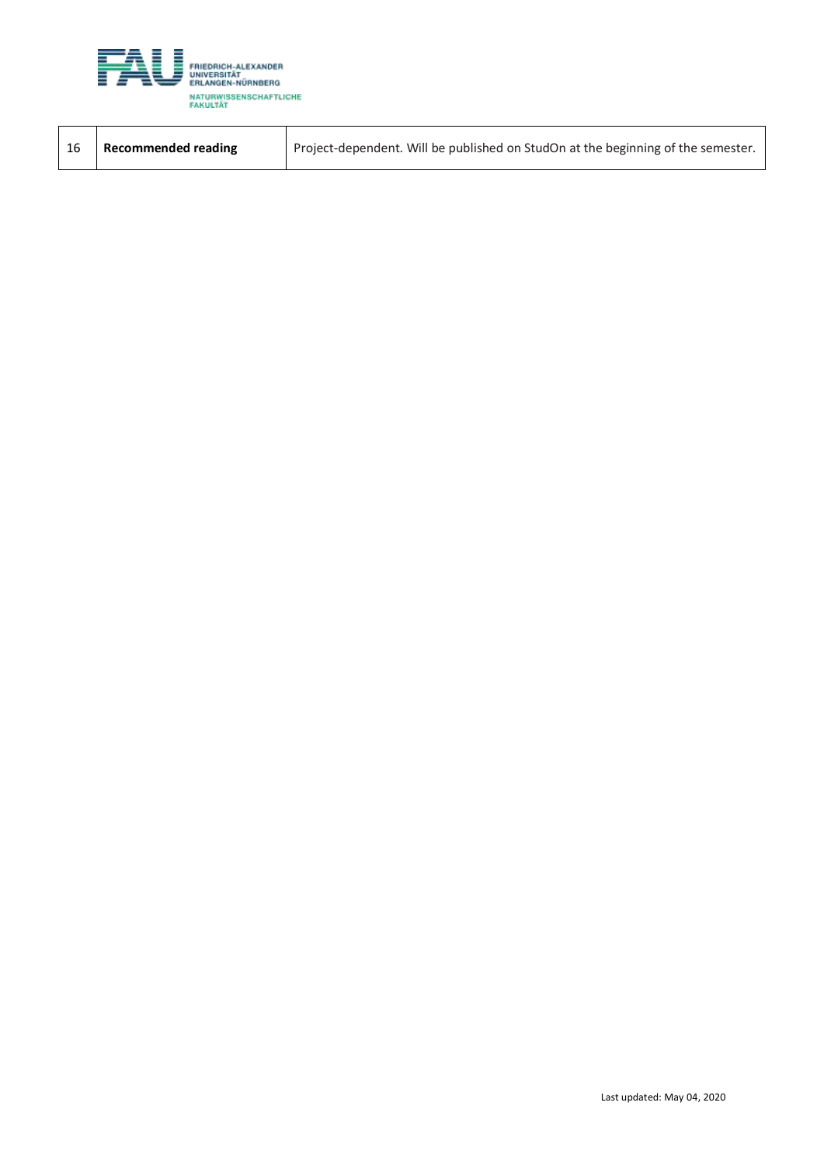

| Recommended reading | Project-dependent. Will be published on StudOn at the beginning of the semester. |
|---------------------|----------------------------------------------------------------------------------|
|                     |                                                                                  |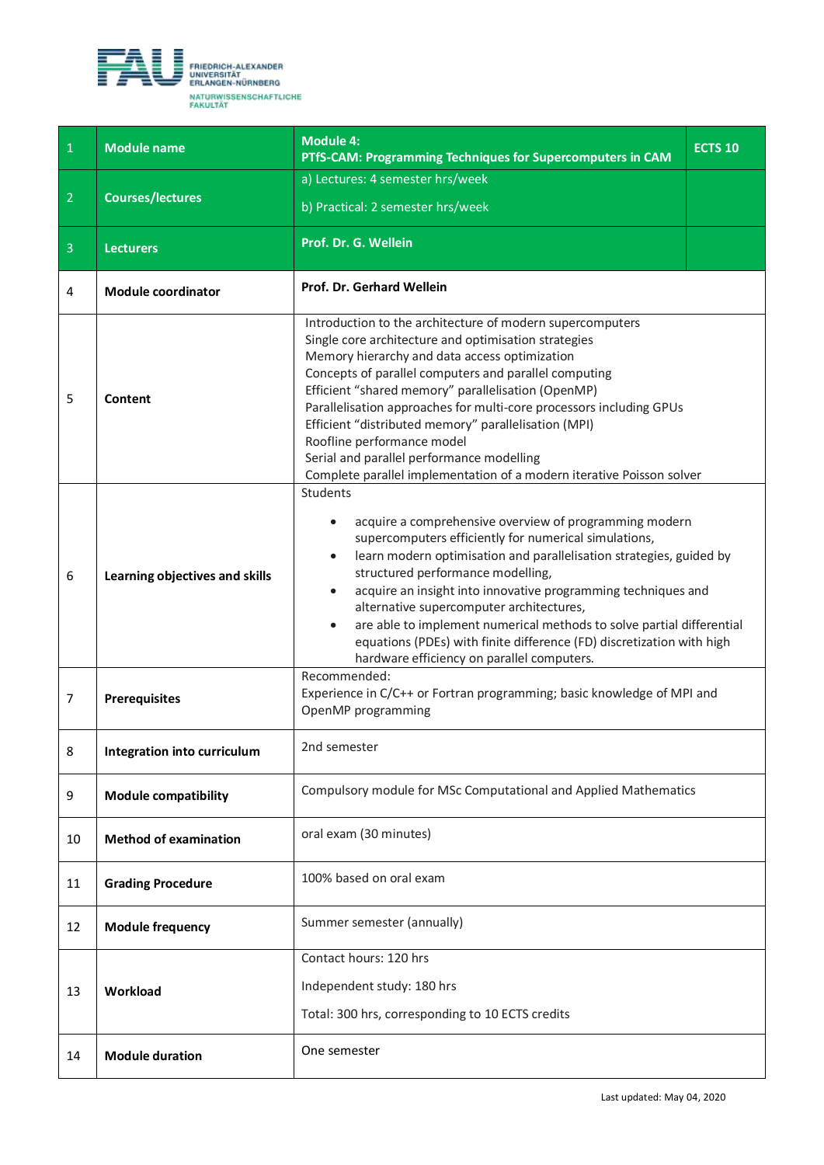<span id="page-7-0"></span>

| $\mathbf{1}$   | <b>Module name</b>             | <b>Module 4:</b><br>PTfS-CAM: Programming Techniques for Supercomputers in CAM                                                                                                                                                                                                                                                                                                                                                                                                                                                                                                              | <b>ECTS 10</b> |
|----------------|--------------------------------|---------------------------------------------------------------------------------------------------------------------------------------------------------------------------------------------------------------------------------------------------------------------------------------------------------------------------------------------------------------------------------------------------------------------------------------------------------------------------------------------------------------------------------------------------------------------------------------------|----------------|
|                |                                | a) Lectures: 4 semester hrs/week                                                                                                                                                                                                                                                                                                                                                                                                                                                                                                                                                            |                |
| $\overline{2}$ | <b>Courses/lectures</b>        | b) Practical: 2 semester hrs/week                                                                                                                                                                                                                                                                                                                                                                                                                                                                                                                                                           |                |
| $\overline{3}$ | <b>Lecturers</b>               | Prof. Dr. G. Wellein                                                                                                                                                                                                                                                                                                                                                                                                                                                                                                                                                                        |                |
| $\overline{4}$ | <b>Module coordinator</b>      | Prof. Dr. Gerhard Wellein                                                                                                                                                                                                                                                                                                                                                                                                                                                                                                                                                                   |                |
| 5              | Content                        | Introduction to the architecture of modern supercomputers<br>Single core architecture and optimisation strategies<br>Memory hierarchy and data access optimization<br>Concepts of parallel computers and parallel computing<br>Efficient "shared memory" parallelisation (OpenMP)<br>Parallelisation approaches for multi-core processors including GPUs<br>Efficient "distributed memory" parallelisation (MPI)<br>Roofline performance model<br>Serial and parallel performance modelling<br>Complete parallel implementation of a modern iterative Poisson solver                        |                |
| 6              | Learning objectives and skills | Students<br>acquire a comprehensive overview of programming modern<br>$\bullet$<br>supercomputers efficiently for numerical simulations,<br>learn modern optimisation and parallelisation strategies, guided by<br>$\bullet$<br>structured performance modelling,<br>acquire an insight into innovative programming techniques and<br>$\bullet$<br>alternative supercomputer architectures,<br>are able to implement numerical methods to solve partial differential<br>equations (PDEs) with finite difference (FD) discretization with high<br>hardware efficiency on parallel computers. |                |
| 7              | <b>Prerequisites</b>           | Recommended:<br>Experience in C/C++ or Fortran programming; basic knowledge of MPI and<br>OpenMP programming                                                                                                                                                                                                                                                                                                                                                                                                                                                                                |                |
| 8              | Integration into curriculum    | 2nd semester                                                                                                                                                                                                                                                                                                                                                                                                                                                                                                                                                                                |                |
| 9              | <b>Module compatibility</b>    | Compulsory module for MSc Computational and Applied Mathematics                                                                                                                                                                                                                                                                                                                                                                                                                                                                                                                             |                |
| 10             | <b>Method of examination</b>   | oral exam (30 minutes)                                                                                                                                                                                                                                                                                                                                                                                                                                                                                                                                                                      |                |
| 11             | <b>Grading Procedure</b>       | 100% based on oral exam                                                                                                                                                                                                                                                                                                                                                                                                                                                                                                                                                                     |                |
| 12             | <b>Module frequency</b>        | Summer semester (annually)                                                                                                                                                                                                                                                                                                                                                                                                                                                                                                                                                                  |                |
|                |                                | Contact hours: 120 hrs                                                                                                                                                                                                                                                                                                                                                                                                                                                                                                                                                                      |                |
| 13             | Workload                       | Independent study: 180 hrs                                                                                                                                                                                                                                                                                                                                                                                                                                                                                                                                                                  |                |
|                |                                | Total: 300 hrs, corresponding to 10 ECTS credits                                                                                                                                                                                                                                                                                                                                                                                                                                                                                                                                            |                |
| 14             | <b>Module duration</b>         | One semester                                                                                                                                                                                                                                                                                                                                                                                                                                                                                                                                                                                |                |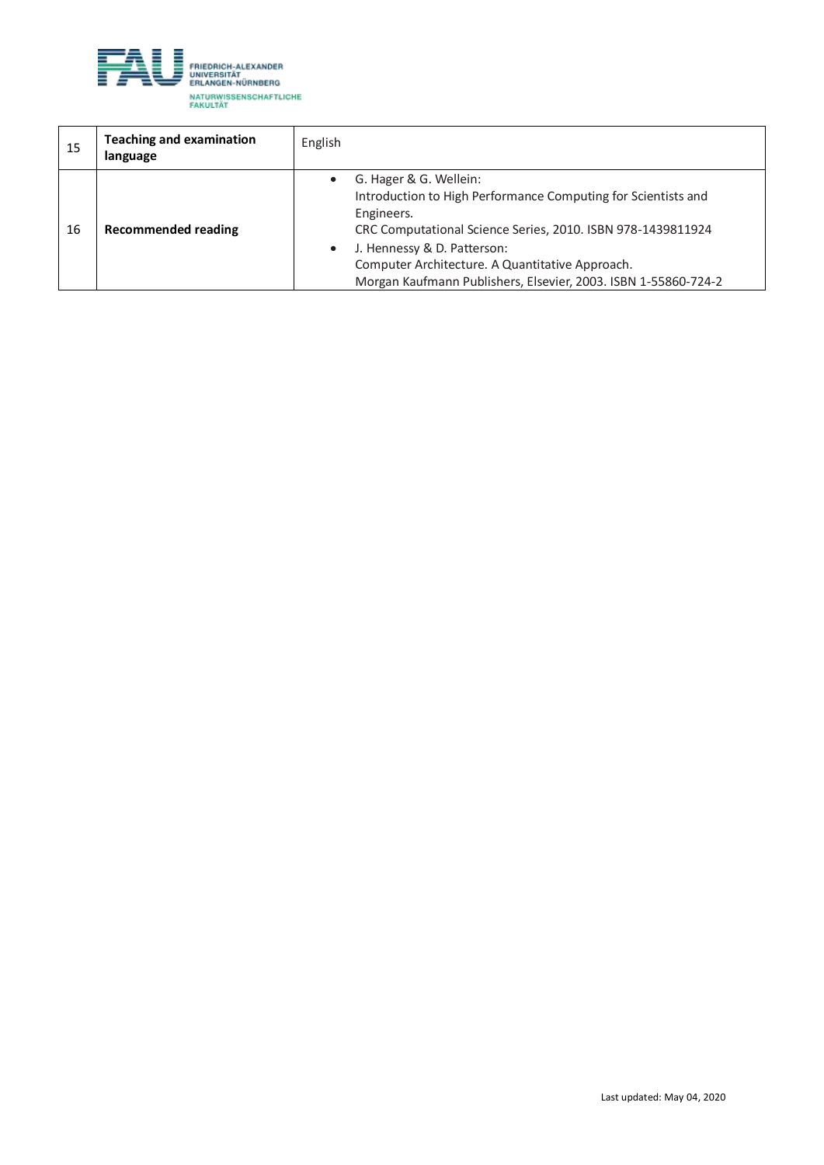

| 15 | <b>Teaching and examination</b><br>language | English                                                                                                                                                                                                                                                                                                                  |
|----|---------------------------------------------|--------------------------------------------------------------------------------------------------------------------------------------------------------------------------------------------------------------------------------------------------------------------------------------------------------------------------|
| 16 | Recommended reading                         | G. Hager & G. Wellein:<br>Introduction to High Performance Computing for Scientists and<br>Engineers.<br>CRC Computational Science Series, 2010. ISBN 978-1439811924<br>J. Hennessy & D. Patterson:<br>Computer Architecture. A Quantitative Approach.<br>Morgan Kaufmann Publishers, Elsevier, 2003. ISBN 1-55860-724-2 |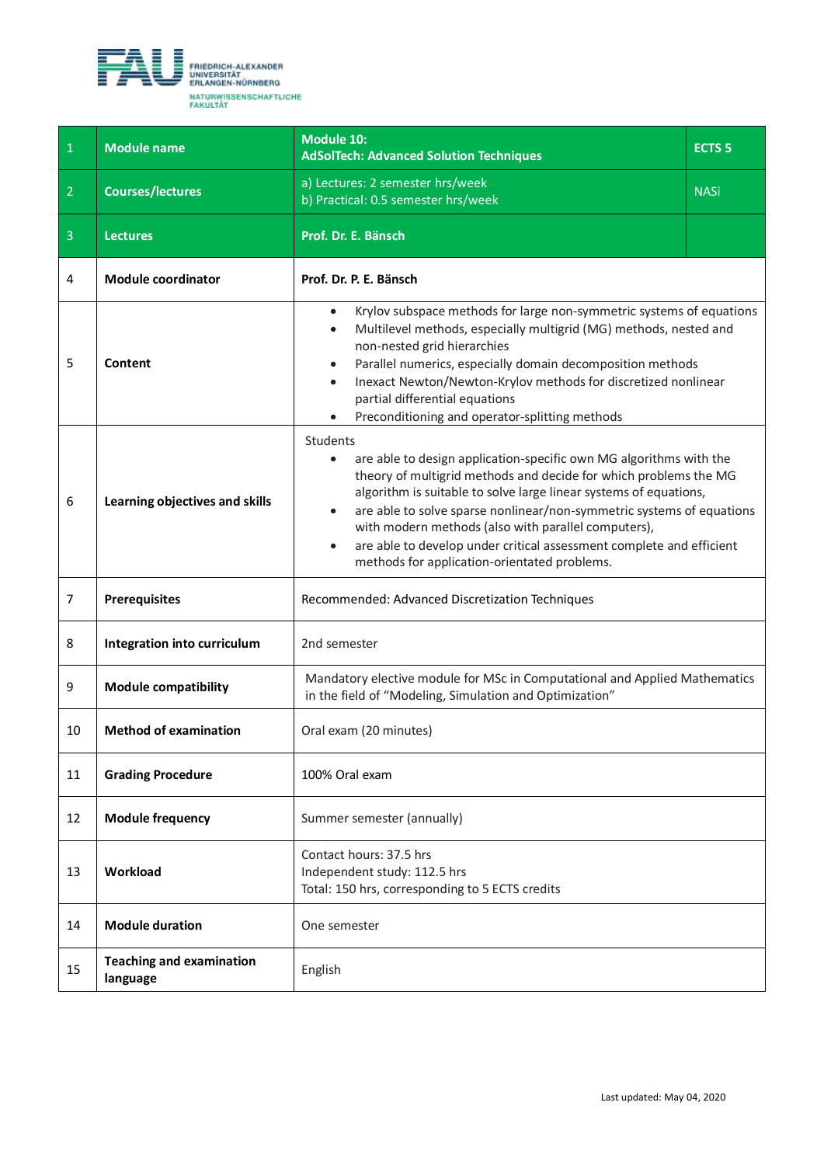<span id="page-9-0"></span>

| $\mathbf{1}$   | <b>Module name</b>                          | Module 10:<br><b>AdSolTech: Advanced Solution Techniques</b>                                                                                                                                                                                                                                                                                                                                                                                                                                              | <b>ECTS 5</b> |
|----------------|---------------------------------------------|-----------------------------------------------------------------------------------------------------------------------------------------------------------------------------------------------------------------------------------------------------------------------------------------------------------------------------------------------------------------------------------------------------------------------------------------------------------------------------------------------------------|---------------|
| $\overline{2}$ | <b>Courses/lectures</b>                     | a) Lectures: 2 semester hrs/week<br>b) Practical: 0.5 semester hrs/week                                                                                                                                                                                                                                                                                                                                                                                                                                   | <b>NASi</b>   |
| $\overline{3}$ | <b>Lectures</b>                             | Prof. Dr. E. Bänsch                                                                                                                                                                                                                                                                                                                                                                                                                                                                                       |               |
| 4              | <b>Module coordinator</b>                   | Prof. Dr. P. E. Bänsch                                                                                                                                                                                                                                                                                                                                                                                                                                                                                    |               |
| 5              | <b>Content</b>                              | Krylov subspace methods for large non-symmetric systems of equations<br>$\bullet$<br>Multilevel methods, especially multigrid (MG) methods, nested and<br>$\bullet$<br>non-nested grid hierarchies<br>Parallel numerics, especially domain decomposition methods<br>$\bullet$<br>Inexact Newton/Newton-Krylov methods for discretized nonlinear<br>$\bullet$<br>partial differential equations<br>Preconditioning and operator-splitting methods                                                          |               |
| 6              | Learning objectives and skills              | Students<br>are able to design application-specific own MG algorithms with the<br>theory of multigrid methods and decide for which problems the MG<br>algorithm is suitable to solve large linear systems of equations,<br>are able to solve sparse nonlinear/non-symmetric systems of equations<br>$\bullet$<br>with modern methods (also with parallel computers),<br>are able to develop under critical assessment complete and efficient<br>$\bullet$<br>methods for application-orientated problems. |               |
| 7              | <b>Prerequisites</b>                        | Recommended: Advanced Discretization Techniques                                                                                                                                                                                                                                                                                                                                                                                                                                                           |               |
| 8              | Integration into curriculum                 | 2nd semester                                                                                                                                                                                                                                                                                                                                                                                                                                                                                              |               |
| 9              | <b>Module compatibility</b>                 | Mandatory elective module for MSc in Computational and Applied Mathematics<br>in the field of "Modeling, Simulation and Optimization"                                                                                                                                                                                                                                                                                                                                                                     |               |
| 10             | <b>Method of examination</b>                | Oral exam (20 minutes)                                                                                                                                                                                                                                                                                                                                                                                                                                                                                    |               |
| 11             | <b>Grading Procedure</b>                    | 100% Oral exam                                                                                                                                                                                                                                                                                                                                                                                                                                                                                            |               |
| 12             | <b>Module frequency</b>                     | Summer semester (annually)                                                                                                                                                                                                                                                                                                                                                                                                                                                                                |               |
| 13             | Workload                                    | Contact hours: 37.5 hrs<br>Independent study: 112.5 hrs<br>Total: 150 hrs, corresponding to 5 ECTS credits                                                                                                                                                                                                                                                                                                                                                                                                |               |
| 14             | <b>Module duration</b>                      | One semester                                                                                                                                                                                                                                                                                                                                                                                                                                                                                              |               |
| 15             | <b>Teaching and examination</b><br>language | English                                                                                                                                                                                                                                                                                                                                                                                                                                                                                                   |               |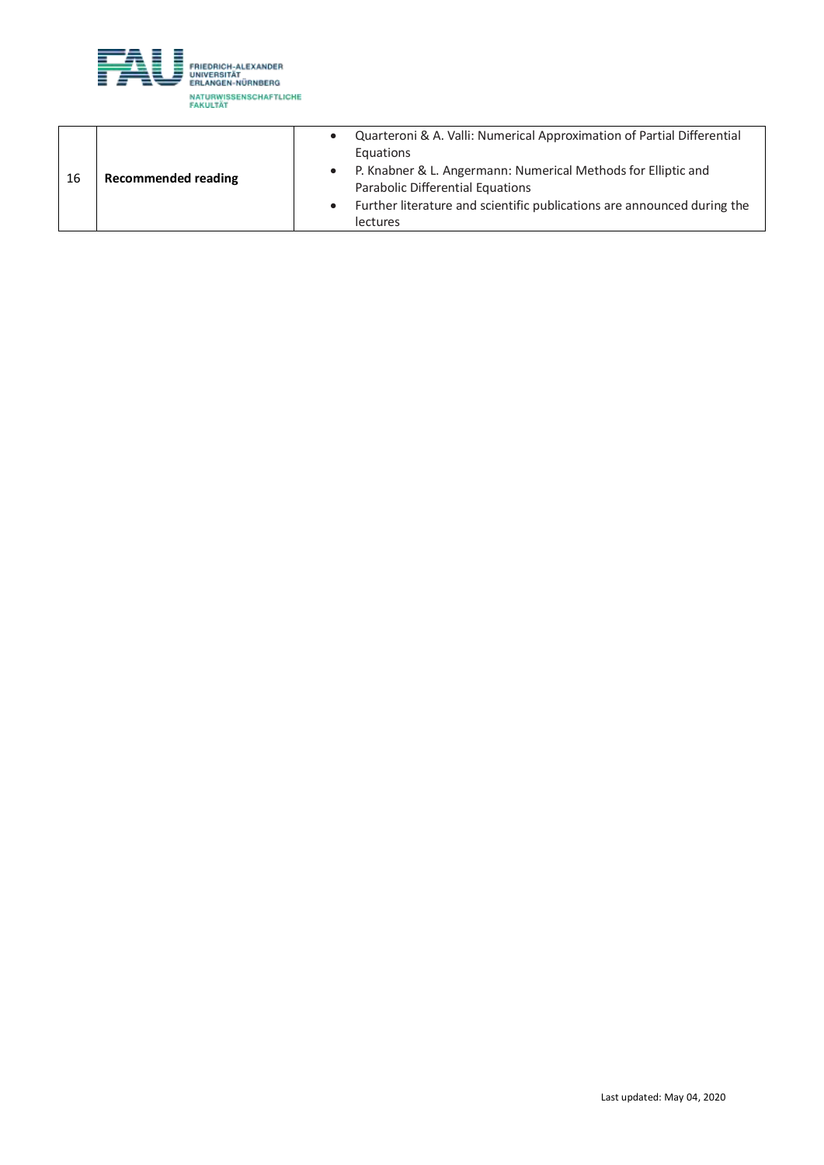

| 16 | <b>Recommended reading</b> | Quarteroni & A. Valli: Numerical Approximation of Partial Differential<br>Equations<br>P. Knabner & L. Angermann: Numerical Methods for Elliptic and<br>Parabolic Differential Equations |
|----|----------------------------|------------------------------------------------------------------------------------------------------------------------------------------------------------------------------------------|
|    |                            | Further literature and scientific publications are announced during the<br><b>lectures</b>                                                                                               |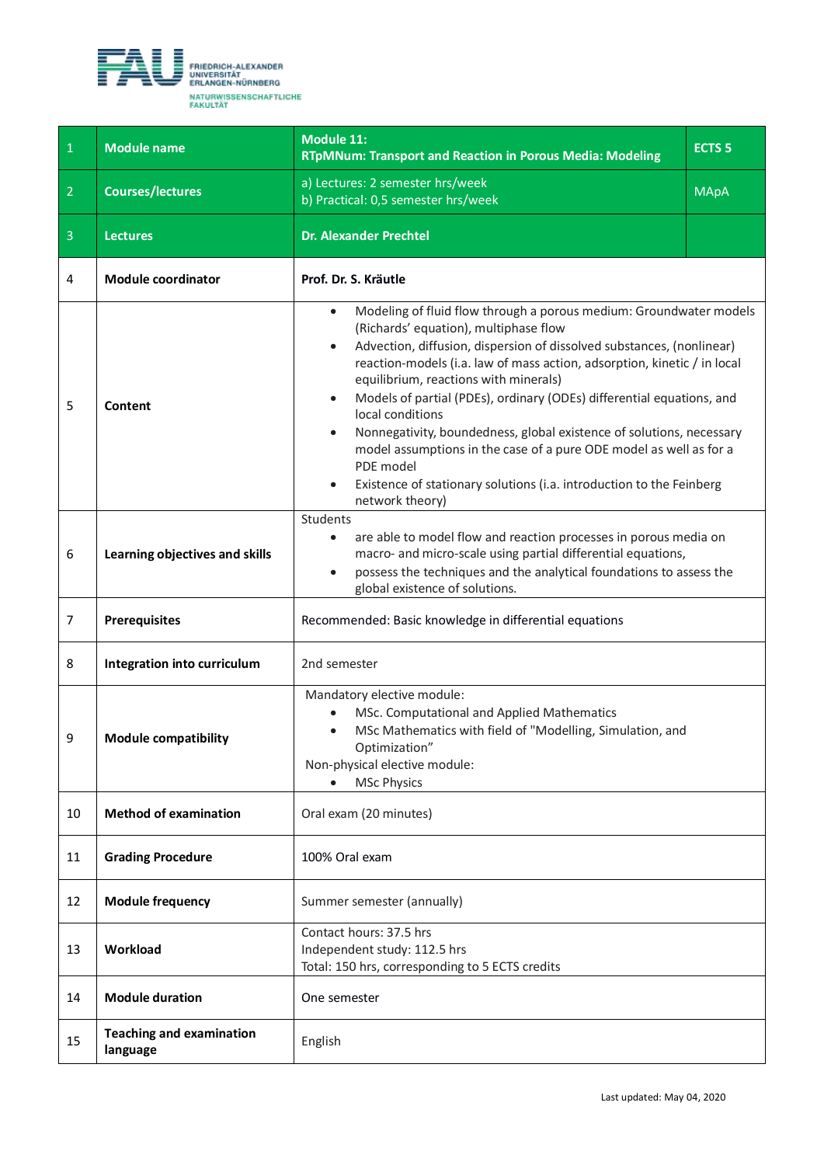<span id="page-11-0"></span>

| $\mathbf 1$    | <b>Module name</b>                          | <b>Module 11:</b><br><b>RTpMNum: Transport and Reaction in Porous Media: Modeling</b>                                                                                                                                                                                                                                                                                                                                                                                                                                                                                                                                                                                                                            | <b>ECTS 5</b> |
|----------------|---------------------------------------------|------------------------------------------------------------------------------------------------------------------------------------------------------------------------------------------------------------------------------------------------------------------------------------------------------------------------------------------------------------------------------------------------------------------------------------------------------------------------------------------------------------------------------------------------------------------------------------------------------------------------------------------------------------------------------------------------------------------|---------------|
| $\overline{2}$ | <b>Courses/lectures</b>                     | a) Lectures: 2 semester hrs/week<br>b) Practical: 0,5 semester hrs/week                                                                                                                                                                                                                                                                                                                                                                                                                                                                                                                                                                                                                                          | <b>MApA</b>   |
| $\overline{3}$ | <b>Lectures</b>                             | <b>Dr. Alexander Prechtel</b>                                                                                                                                                                                                                                                                                                                                                                                                                                                                                                                                                                                                                                                                                    |               |
| 4              | <b>Module coordinator</b>                   | Prof. Dr. S. Kräutle                                                                                                                                                                                                                                                                                                                                                                                                                                                                                                                                                                                                                                                                                             |               |
| 5              | Content                                     | Modeling of fluid flow through a porous medium: Groundwater models<br>$\bullet$<br>(Richards' equation), multiphase flow<br>Advection, diffusion, dispersion of dissolved substances, (nonlinear)<br>$\bullet$<br>reaction-models (i.a. law of mass action, adsorption, kinetic / in local<br>equilibrium, reactions with minerals)<br>Models of partial (PDEs), ordinary (ODEs) differential equations, and<br>$\bullet$<br>local conditions<br>Nonnegativity, boundedness, global existence of solutions, necessary<br>$\bullet$<br>model assumptions in the case of a pure ODE model as well as for a<br>PDE model<br>Existence of stationary solutions (i.a. introduction to the Feinberg<br>network theory) |               |
| 6              | Learning objectives and skills              | Students<br>are able to model flow and reaction processes in porous media on<br>$\bullet$<br>macro- and micro-scale using partial differential equations,<br>possess the techniques and the analytical foundations to assess the<br>$\bullet$<br>global existence of solutions.                                                                                                                                                                                                                                                                                                                                                                                                                                  |               |
| 7              | <b>Prerequisites</b>                        | Recommended: Basic knowledge in differential equations                                                                                                                                                                                                                                                                                                                                                                                                                                                                                                                                                                                                                                                           |               |
| 8              | Integration into curriculum                 | 2nd semester                                                                                                                                                                                                                                                                                                                                                                                                                                                                                                                                                                                                                                                                                                     |               |
| 9              | <b>Module compatibility</b>                 | Mandatory elective module:<br>MSc. Computational and Applied Mathematics<br>MSc Mathematics with field of "Modelling, Simulation, and<br>Optimization"<br>Non-physical elective module:<br><b>MSc Physics</b>                                                                                                                                                                                                                                                                                                                                                                                                                                                                                                    |               |
| 10             | <b>Method of examination</b>                | Oral exam (20 minutes)                                                                                                                                                                                                                                                                                                                                                                                                                                                                                                                                                                                                                                                                                           |               |
| 11             | <b>Grading Procedure</b>                    | 100% Oral exam                                                                                                                                                                                                                                                                                                                                                                                                                                                                                                                                                                                                                                                                                                   |               |
| 12             | <b>Module frequency</b>                     | Summer semester (annually)                                                                                                                                                                                                                                                                                                                                                                                                                                                                                                                                                                                                                                                                                       |               |
| 13             | Workload                                    | Contact hours: 37.5 hrs<br>Independent study: 112.5 hrs<br>Total: 150 hrs, corresponding to 5 ECTS credits                                                                                                                                                                                                                                                                                                                                                                                                                                                                                                                                                                                                       |               |
| 14             | <b>Module duration</b>                      | One semester                                                                                                                                                                                                                                                                                                                                                                                                                                                                                                                                                                                                                                                                                                     |               |
| 15             | <b>Teaching and examination</b><br>language | English                                                                                                                                                                                                                                                                                                                                                                                                                                                                                                                                                                                                                                                                                                          |               |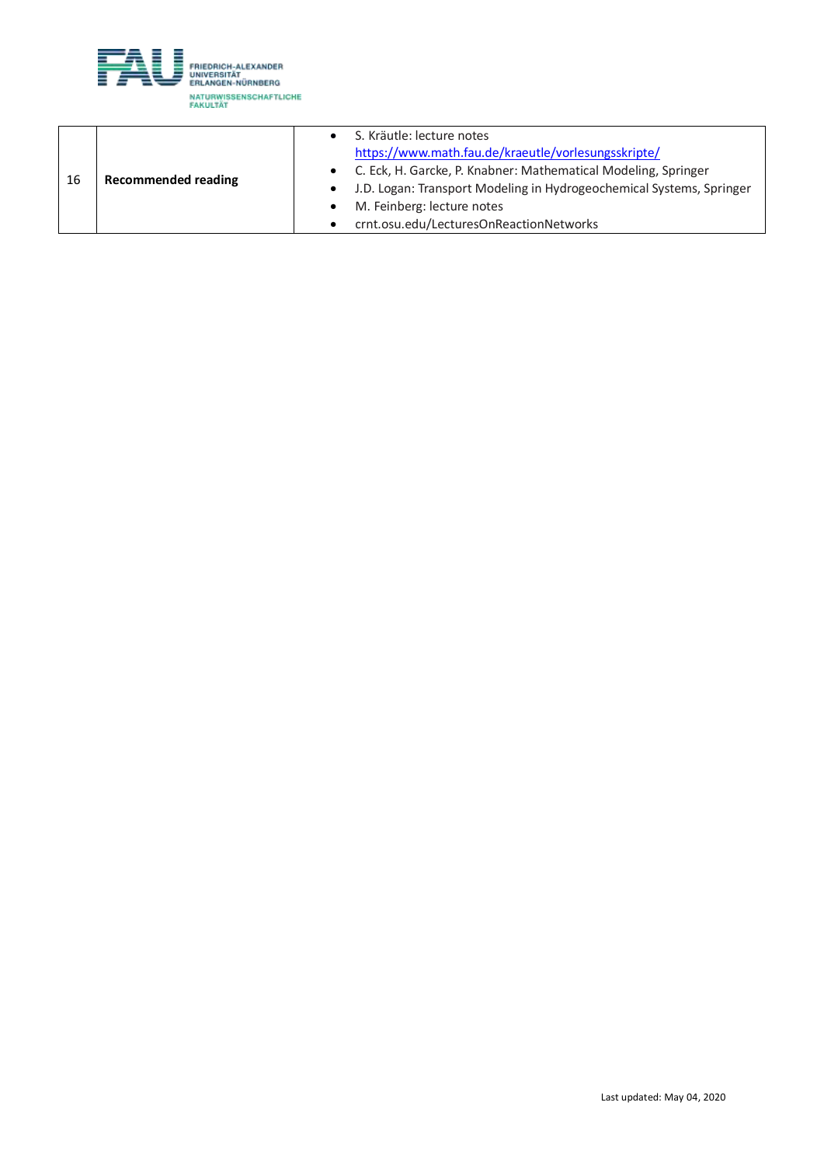

|    |                            | S. Kräutle: lecture notes                                            |
|----|----------------------------|----------------------------------------------------------------------|
|    |                            | https://www.math.fau.de/kraeutle/vorlesungsskripte/                  |
| 16 | <b>Recommended reading</b> | • C. Eck, H. Garcke, P. Knabner: Mathematical Modeling, Springer     |
|    |                            | J.D. Logan: Transport Modeling in Hydrogeochemical Systems, Springer |
|    |                            | M. Feinberg: lecture notes                                           |
|    |                            | crnt.osu.edu/LecturesOnReactionNetworks                              |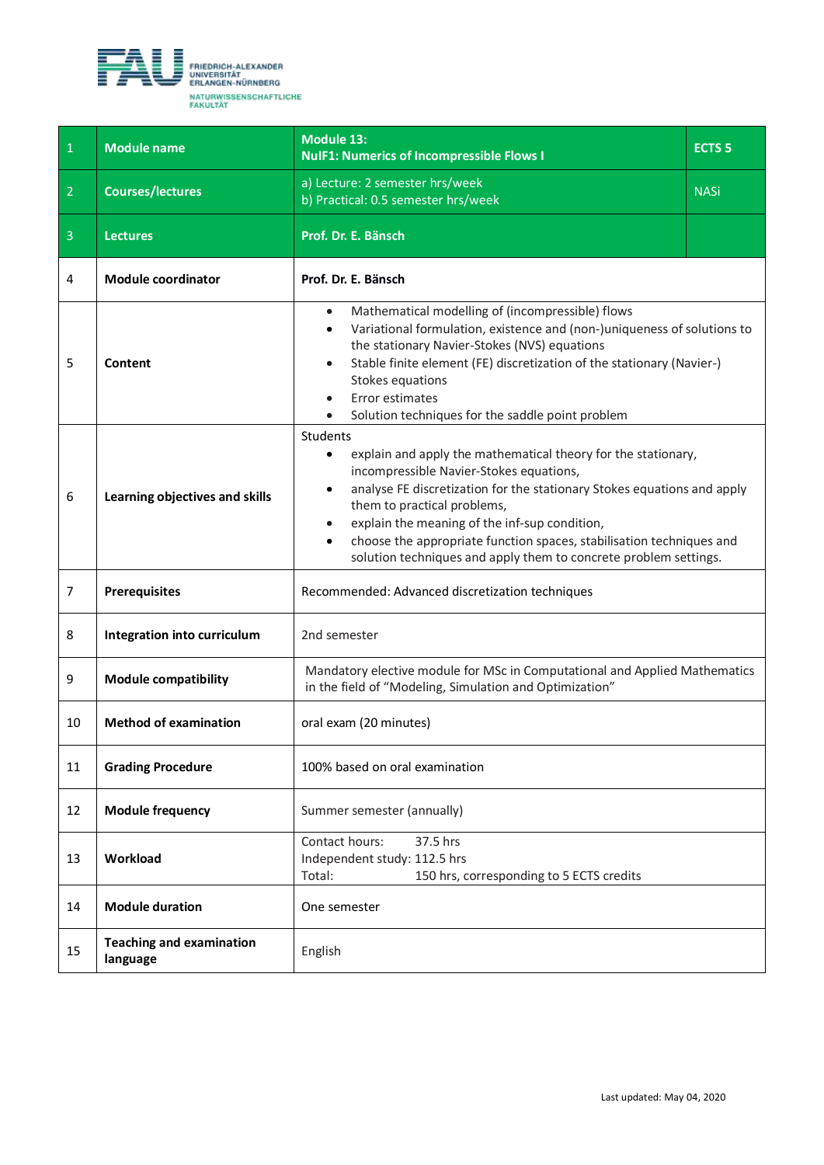<span id="page-13-0"></span>

| $\mathbf 1$    | <b>Module name</b>                          | <b>Module 13:</b><br><b>NulF1: Numerics of Incompressible Flows I</b>                                                                                                                                                                                                                                                                                                                                                                                 | <b>ECTS 5</b> |
|----------------|---------------------------------------------|-------------------------------------------------------------------------------------------------------------------------------------------------------------------------------------------------------------------------------------------------------------------------------------------------------------------------------------------------------------------------------------------------------------------------------------------------------|---------------|
| $\overline{2}$ | <b>Courses/lectures</b>                     | a) Lecture: 2 semester hrs/week<br>b) Practical: 0.5 semester hrs/week                                                                                                                                                                                                                                                                                                                                                                                | <b>NASi</b>   |
| 3              | <b>Lectures</b>                             | Prof. Dr. E. Bänsch                                                                                                                                                                                                                                                                                                                                                                                                                                   |               |
| 4              | <b>Module coordinator</b>                   | Prof. Dr. E. Bänsch                                                                                                                                                                                                                                                                                                                                                                                                                                   |               |
| 5              | Content                                     | Mathematical modelling of (incompressible) flows<br>$\bullet$<br>Variational formulation, existence and (non-)uniqueness of solutions to<br>$\bullet$<br>the stationary Navier-Stokes (NVS) equations<br>Stable finite element (FE) discretization of the stationary (Navier-)<br>$\bullet$<br>Stokes equations<br>Error estimates<br>Solution techniques for the saddle point problem                                                                |               |
| 6              | Learning objectives and skills              | Students<br>explain and apply the mathematical theory for the stationary,<br>$\bullet$<br>incompressible Navier-Stokes equations,<br>analyse FE discretization for the stationary Stokes equations and apply<br>them to practical problems,<br>explain the meaning of the inf-sup condition,<br>choose the appropriate function spaces, stabilisation techniques and<br>$\bullet$<br>solution techniques and apply them to concrete problem settings. |               |
| 7              | <b>Prerequisites</b>                        | Recommended: Advanced discretization techniques                                                                                                                                                                                                                                                                                                                                                                                                       |               |
| 8              | Integration into curriculum                 | 2nd semester                                                                                                                                                                                                                                                                                                                                                                                                                                          |               |
| 9              | <b>Module compatibility</b>                 | Mandatory elective module for MSc in Computational and Applied Mathematics<br>in the field of "Modeling, Simulation and Optimization"                                                                                                                                                                                                                                                                                                                 |               |
| 10             | <b>Method of examination</b>                | oral exam (20 minutes)                                                                                                                                                                                                                                                                                                                                                                                                                                |               |
| 11             | <b>Grading Procedure</b>                    | 100% based on oral examination                                                                                                                                                                                                                                                                                                                                                                                                                        |               |
| 12             | <b>Module frequency</b>                     | Summer semester (annually)                                                                                                                                                                                                                                                                                                                                                                                                                            |               |
| 13             | Workload                                    | Contact hours:<br>37.5 hrs<br>Independent study: 112.5 hrs<br>Total:<br>150 hrs, corresponding to 5 ECTS credits                                                                                                                                                                                                                                                                                                                                      |               |
| 14             | <b>Module duration</b>                      | One semester                                                                                                                                                                                                                                                                                                                                                                                                                                          |               |
| 15             | <b>Teaching and examination</b><br>language | English                                                                                                                                                                                                                                                                                                                                                                                                                                               |               |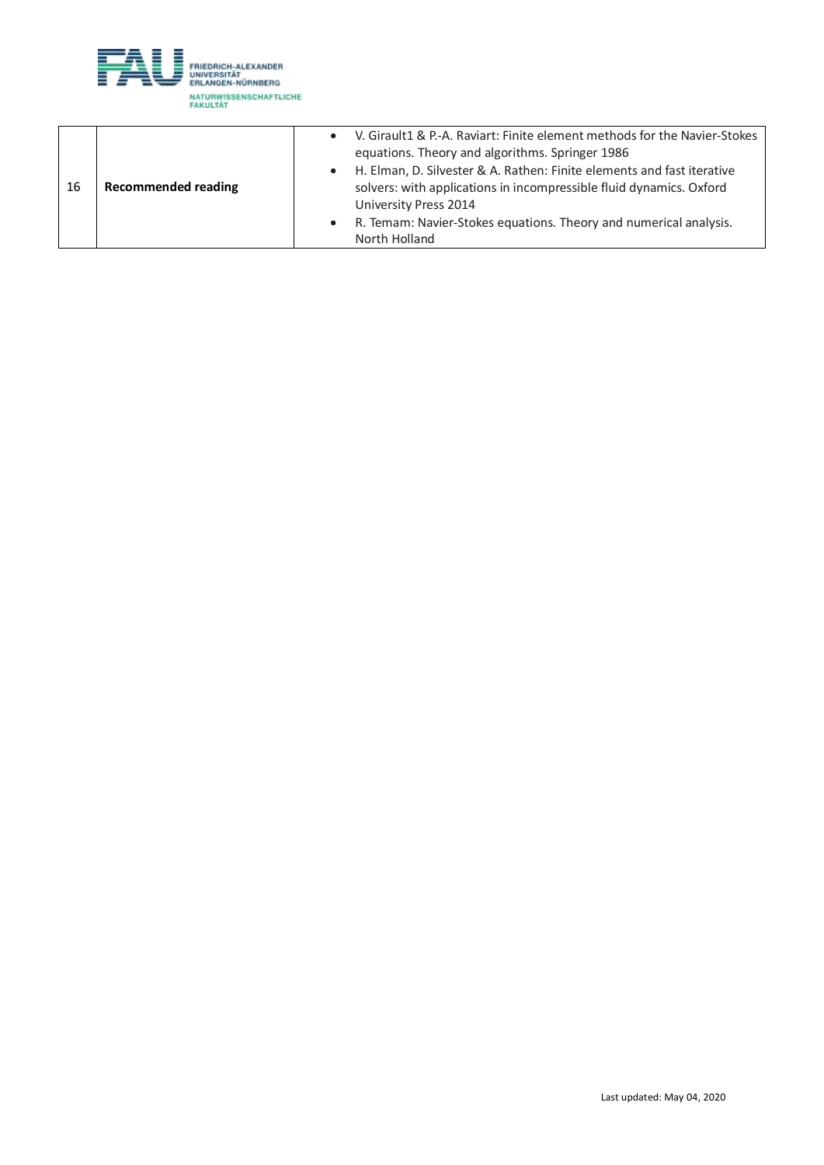

|    |                            | V. Girault1 & P.-A. Raviart: Finite element methods for the Navier-Stokes |
|----|----------------------------|---------------------------------------------------------------------------|
|    |                            | equations. Theory and algorithms. Springer 1986                           |
|    |                            | H. Elman, D. Silvester & A. Rathen: Finite elements and fast iterative    |
| 16 | <b>Recommended reading</b> | solvers: with applications in incompressible fluid dynamics. Oxford       |
|    |                            | University Press 2014                                                     |
|    |                            | R. Temam: Navier-Stokes equations. Theory and numerical analysis.         |
|    |                            | North Holland                                                             |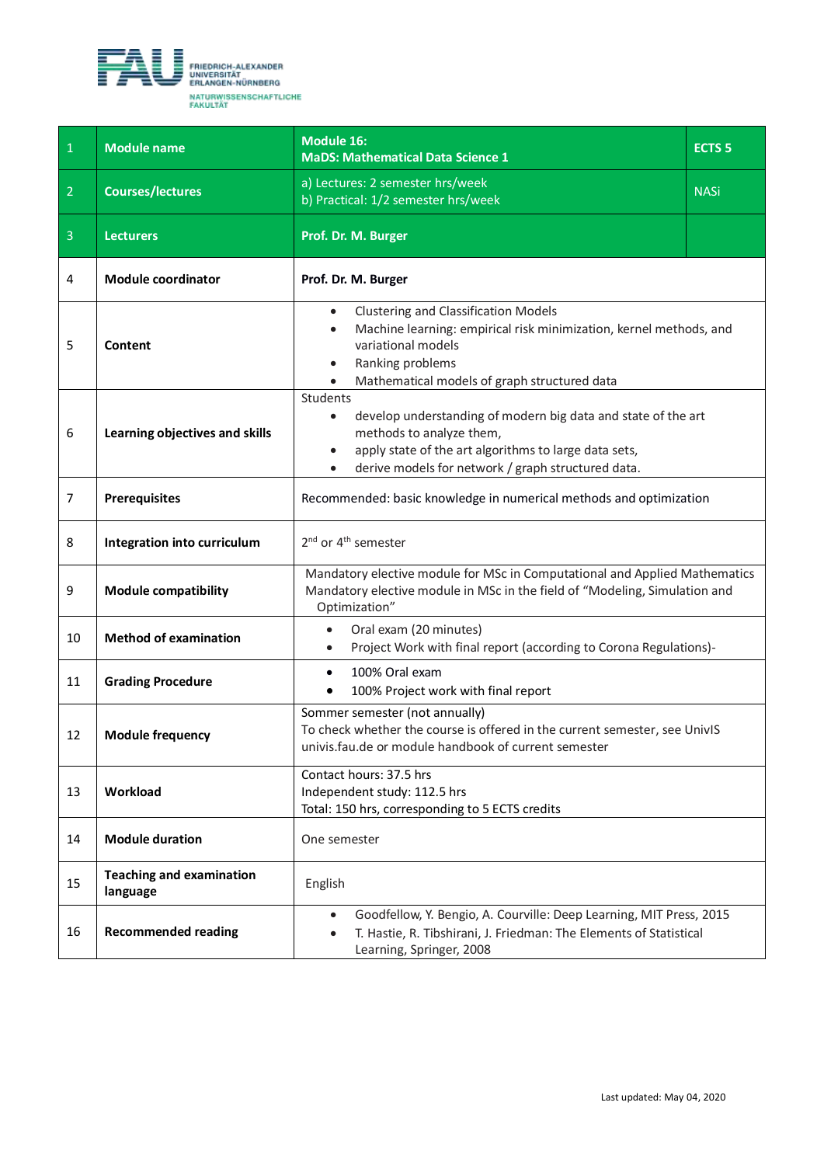<span id="page-15-0"></span>

| $\mathbf 1$    | <b>Module name</b>                          | <b>Module 16:</b><br><b>MaDS: Mathematical Data Science 1</b>                                                                                                                                                                         | <b>ECTS 5</b> |
|----------------|---------------------------------------------|---------------------------------------------------------------------------------------------------------------------------------------------------------------------------------------------------------------------------------------|---------------|
| $\overline{2}$ | <b>Courses/lectures</b>                     | a) Lectures: 2 semester hrs/week<br>b) Practical: 1/2 semester hrs/week                                                                                                                                                               | <b>NASi</b>   |
| $\overline{3}$ | <b>Lecturers</b>                            | Prof. Dr. M. Burger                                                                                                                                                                                                                   |               |
| 4              | <b>Module coordinator</b>                   | Prof. Dr. M. Burger                                                                                                                                                                                                                   |               |
| 5              | Content                                     | <b>Clustering and Classification Models</b><br>$\bullet$<br>Machine learning: empirical risk minimization, kernel methods, and<br>variational models<br>Ranking problems<br>$\bullet$<br>Mathematical models of graph structured data |               |
| 6              | Learning objectives and skills              | Students<br>develop understanding of modern big data and state of the art<br>methods to analyze them,<br>apply state of the art algorithms to large data sets,<br>derive models for network / graph structured data.                  |               |
| 7              | <b>Prerequisites</b>                        | Recommended: basic knowledge in numerical methods and optimization                                                                                                                                                                    |               |
| 8              | Integration into curriculum                 | 2 <sup>nd</sup> or 4 <sup>th</sup> semester                                                                                                                                                                                           |               |
| 9              | <b>Module compatibility</b>                 | Mandatory elective module for MSc in Computational and Applied Mathematics<br>Mandatory elective module in MSc in the field of "Modeling, Simulation and<br>Optimization"                                                             |               |
| 10             | <b>Method of examination</b>                | Oral exam (20 minutes)<br>$\bullet$<br>Project Work with final report (according to Corona Regulations)-<br>$\bullet$                                                                                                                 |               |
| 11             | <b>Grading Procedure</b>                    | 100% Oral exam<br>$\bullet$<br>100% Project work with final report                                                                                                                                                                    |               |
| 12             | <b>Module frequency</b>                     | Sommer semester (not annually)<br>To check whether the course is offered in the current semester, see UnivIS<br>univis.fau.de or module handbook of current semester                                                                  |               |
| 13             | Workload                                    | Contact hours: 37.5 hrs<br>Independent study: 112.5 hrs<br>Total: 150 hrs, corresponding to 5 ECTS credits                                                                                                                            |               |
| 14             | <b>Module duration</b>                      | One semester                                                                                                                                                                                                                          |               |
| 15             | <b>Teaching and examination</b><br>language | English                                                                                                                                                                                                                               |               |
| 16             | <b>Recommended reading</b>                  | Goodfellow, Y. Bengio, A. Courville: Deep Learning, MIT Press, 2015<br>$\bullet$<br>T. Hastie, R. Tibshirani, J. Friedman: The Elements of Statistical<br>Learning, Springer, 2008                                                    |               |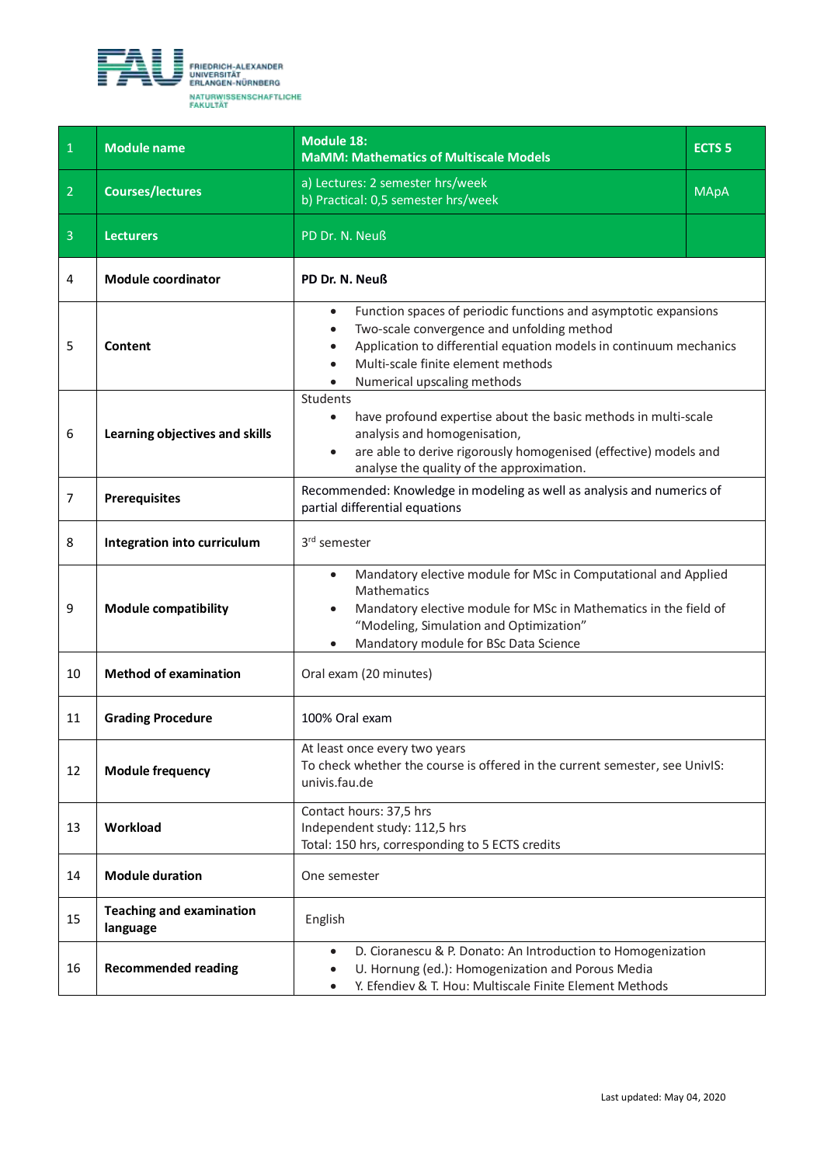<span id="page-16-0"></span>

| $\mathbf{1}$   | <b>Module name</b>                          | <b>Module 18:</b><br><b>MaMM: Mathematics of Multiscale Models</b>                                                                                                                                                                                                                                           | ECTS <sub>5</sub> |
|----------------|---------------------------------------------|--------------------------------------------------------------------------------------------------------------------------------------------------------------------------------------------------------------------------------------------------------------------------------------------------------------|-------------------|
| $\overline{2}$ | <b>Courses/lectures</b>                     | a) Lectures: 2 semester hrs/week<br>b) Practical: 0,5 semester hrs/week                                                                                                                                                                                                                                      | <b>MApA</b>       |
| $\overline{3}$ | <b>Lecturers</b>                            | PD Dr. N. Neuß                                                                                                                                                                                                                                                                                               |                   |
| 4              | <b>Module coordinator</b>                   | PD Dr. N. Neuß                                                                                                                                                                                                                                                                                               |                   |
| 5              | Content                                     | Function spaces of periodic functions and asymptotic expansions<br>$\bullet$<br>Two-scale convergence and unfolding method<br>$\bullet$<br>Application to differential equation models in continuum mechanics<br>$\bullet$<br>Multi-scale finite element methods<br>$\bullet$<br>Numerical upscaling methods |                   |
| 6              | Learning objectives and skills              | Students<br>have profound expertise about the basic methods in multi-scale<br>analysis and homogenisation,<br>are able to derive rigorously homogenised (effective) models and<br>analyse the quality of the approximation.                                                                                  |                   |
| $\overline{7}$ | <b>Prerequisites</b>                        | Recommended: Knowledge in modeling as well as analysis and numerics of<br>partial differential equations                                                                                                                                                                                                     |                   |
| 8              | Integration into curriculum                 | 3rd semester                                                                                                                                                                                                                                                                                                 |                   |
| 9              | <b>Module compatibility</b>                 | Mandatory elective module for MSc in Computational and Applied<br>$\bullet$<br>Mathematics<br>Mandatory elective module for MSc in Mathematics in the field of<br>"Modeling, Simulation and Optimization"<br>Mandatory module for BSc Data Science<br>$\bullet$                                              |                   |
| 10             | <b>Method of examination</b>                | Oral exam (20 minutes)                                                                                                                                                                                                                                                                                       |                   |
| 11             | <b>Grading Procedure</b>                    | 100% Oral exam                                                                                                                                                                                                                                                                                               |                   |
| 12             | <b>Module frequency</b>                     | At least once every two years<br>To check whether the course is offered in the current semester, see UnivIS:<br>univis.fau.de                                                                                                                                                                                |                   |
| 13             | Workload                                    | Contact hours: 37,5 hrs<br>Independent study: 112,5 hrs<br>Total: 150 hrs, corresponding to 5 ECTS credits                                                                                                                                                                                                   |                   |
| 14             | <b>Module duration</b>                      | One semester                                                                                                                                                                                                                                                                                                 |                   |
| 15             | <b>Teaching and examination</b><br>language | English                                                                                                                                                                                                                                                                                                      |                   |
| 16             | <b>Recommended reading</b>                  | D. Cioranescu & P. Donato: An Introduction to Homogenization<br>$\bullet$<br>U. Hornung (ed.): Homogenization and Porous Media<br>Y. Efendiev & T. Hou: Multiscale Finite Element Methods<br>$\bullet$                                                                                                       |                   |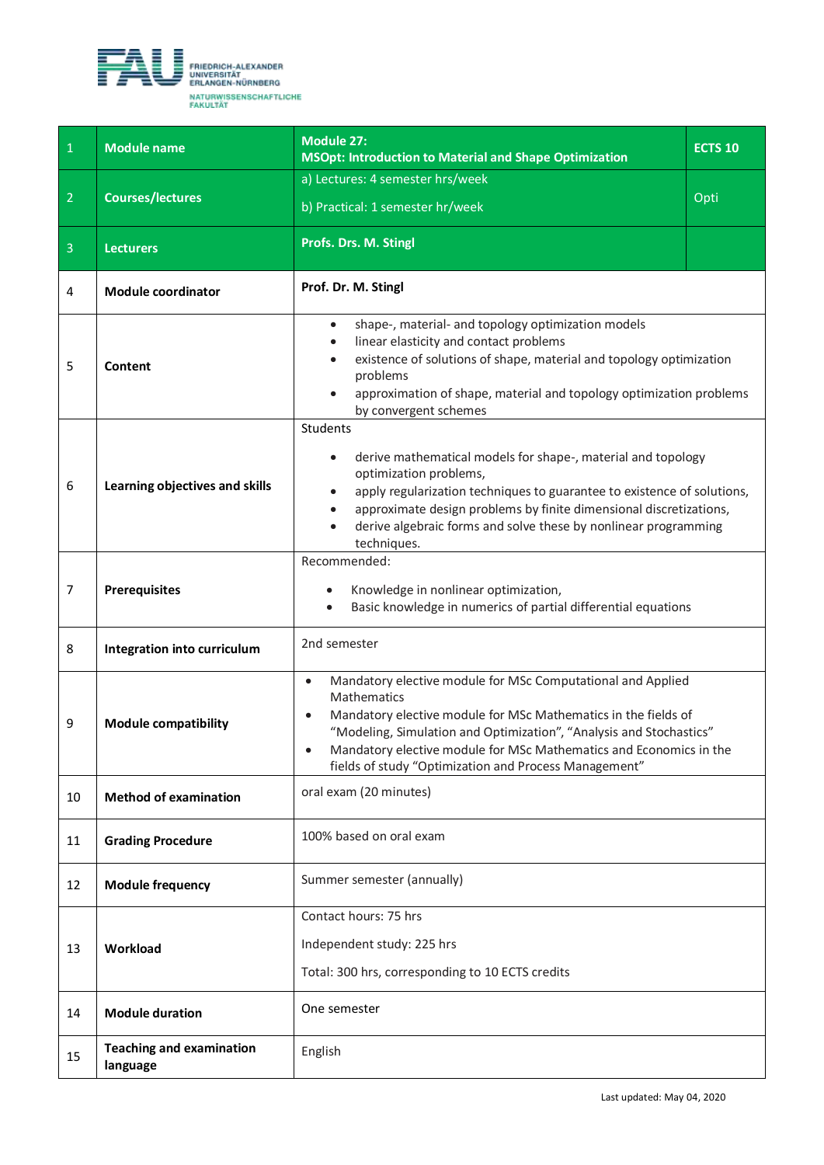<span id="page-17-0"></span>

| $\mathbf 1$    | <b>Module name</b>                          | <b>Module 27:</b><br><b>MSOpt: Introduction to Material and Shape Optimization</b>                                                                                                                                                                                                                                                                                                        | <b>ECTS 10</b> |
|----------------|---------------------------------------------|-------------------------------------------------------------------------------------------------------------------------------------------------------------------------------------------------------------------------------------------------------------------------------------------------------------------------------------------------------------------------------------------|----------------|
|                |                                             | a) Lectures: 4 semester hrs/week                                                                                                                                                                                                                                                                                                                                                          |                |
| $\overline{2}$ | <b>Courses/lectures</b>                     | b) Practical: 1 semester hr/week                                                                                                                                                                                                                                                                                                                                                          | Opti           |
| $\overline{3}$ | <b>Lecturers</b>                            | Profs. Drs. M. Stingl                                                                                                                                                                                                                                                                                                                                                                     |                |
| 4              | <b>Module coordinator</b>                   | Prof. Dr. M. Stingl                                                                                                                                                                                                                                                                                                                                                                       |                |
| 5              | Content                                     | shape-, material- and topology optimization models<br>$\bullet$<br>linear elasticity and contact problems<br>$\bullet$<br>existence of solutions of shape, material and topology optimization<br>$\bullet$<br>problems<br>approximation of shape, material and topology optimization problems<br>$\bullet$<br>by convergent schemes                                                       |                |
| 6              | Learning objectives and skills              | Students<br>derive mathematical models for shape-, material and topology<br>optimization problems,<br>apply regularization techniques to guarantee to existence of solutions,<br>$\bullet$<br>approximate design problems by finite dimensional discretizations,<br>$\bullet$<br>derive algebraic forms and solve these by nonlinear programming<br>techniques.                           |                |
| $\overline{7}$ | <b>Prerequisites</b>                        | Recommended:<br>Knowledge in nonlinear optimization,<br>Basic knowledge in numerics of partial differential equations                                                                                                                                                                                                                                                                     |                |
| 8              | Integration into curriculum                 | 2nd semester                                                                                                                                                                                                                                                                                                                                                                              |                |
| 9              | <b>Module compatibility</b>                 | Mandatory elective module for MSc Computational and Applied<br>$\bullet$<br>Mathematics<br>Mandatory elective module for MSc Mathematics in the fields of<br>$\bullet$<br>"Modeling, Simulation and Optimization", "Analysis and Stochastics"<br>Mandatory elective module for MSc Mathematics and Economics in the<br>$\bullet$<br>fields of study "Optimization and Process Management" |                |
| 10             | <b>Method of examination</b>                | oral exam (20 minutes)                                                                                                                                                                                                                                                                                                                                                                    |                |
| 11             | <b>Grading Procedure</b>                    | 100% based on oral exam                                                                                                                                                                                                                                                                                                                                                                   |                |
| 12             | <b>Module frequency</b>                     | Summer semester (annually)                                                                                                                                                                                                                                                                                                                                                                |                |
| 13             | Workload                                    | Contact hours: 75 hrs<br>Independent study: 225 hrs<br>Total: 300 hrs, corresponding to 10 ECTS credits                                                                                                                                                                                                                                                                                   |                |
| 14             | <b>Module duration</b>                      | One semester                                                                                                                                                                                                                                                                                                                                                                              |                |
| 15             | <b>Teaching and examination</b><br>language | English                                                                                                                                                                                                                                                                                                                                                                                   |                |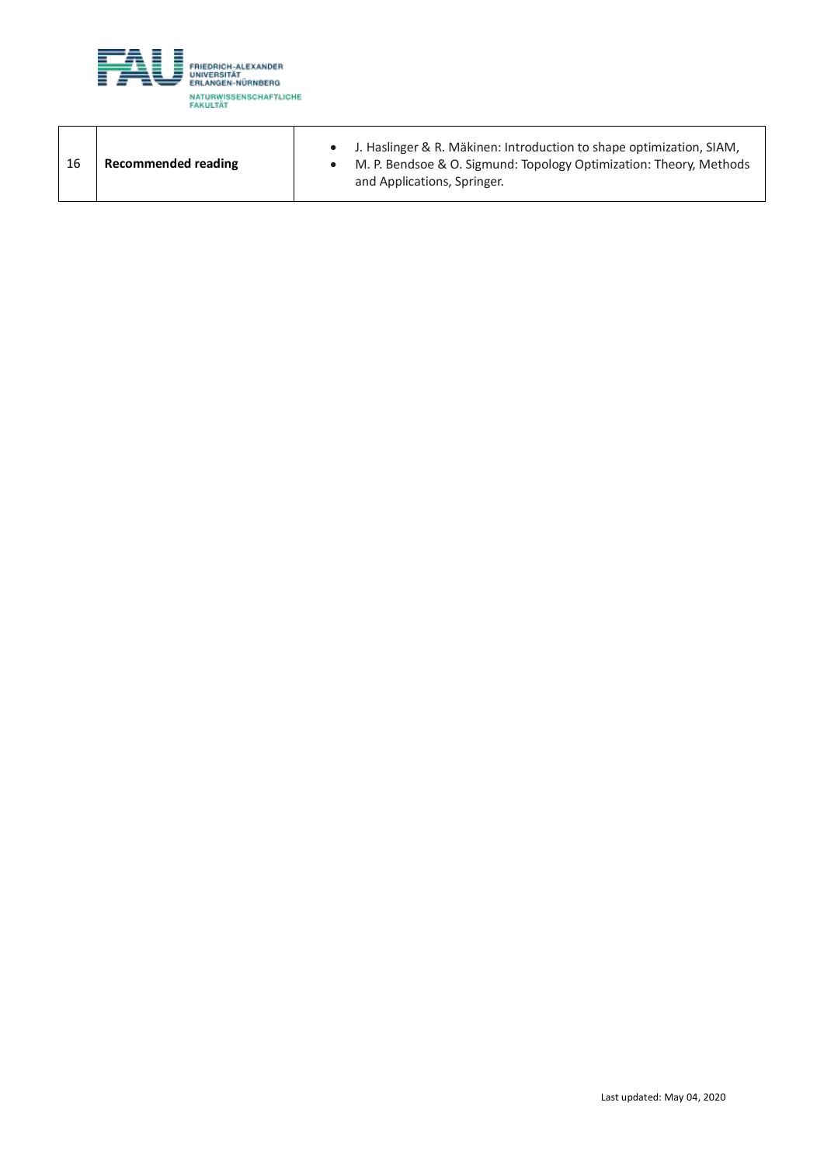

| 16 | Recommended reading | J. Haslinger & R. Mäkinen: Introduction to shape optimization, SIAM,<br>M. P. Bendsoe & O. Sigmund: Topology Optimization: Theory, Methods<br>and Applications, Springer. |
|----|---------------------|---------------------------------------------------------------------------------------------------------------------------------------------------------------------------|
|----|---------------------|---------------------------------------------------------------------------------------------------------------------------------------------------------------------------|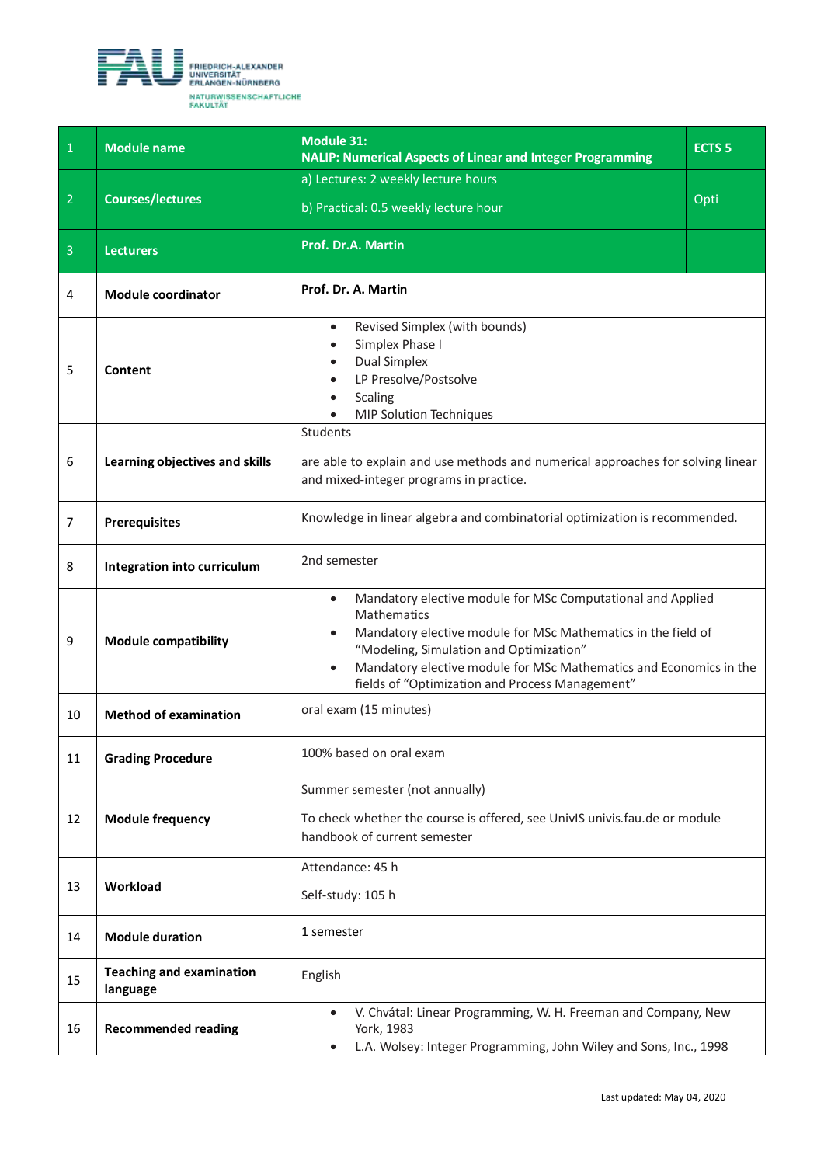<span id="page-19-0"></span>

| $\overline{1}$ | <b>Module name</b>                          | <b>Module 31:</b><br><b>NALIP: Numerical Aspects of Linear and Integer Programming</b>                                                                                                                                                                                                                                                    | <b>ECTS 5</b> |
|----------------|---------------------------------------------|-------------------------------------------------------------------------------------------------------------------------------------------------------------------------------------------------------------------------------------------------------------------------------------------------------------------------------------------|---------------|
| $\overline{2}$ | <b>Courses/lectures</b>                     | a) Lectures: 2 weekly lecture hours<br>b) Practical: 0.5 weekly lecture hour                                                                                                                                                                                                                                                              | Opti          |
| $\overline{3}$ | <b>Lecturers</b>                            | Prof. Dr.A. Martin                                                                                                                                                                                                                                                                                                                        |               |
| 4              | <b>Module coordinator</b>                   | Prof. Dr. A. Martin                                                                                                                                                                                                                                                                                                                       |               |
| 5              | Content                                     | Revised Simplex (with bounds)<br>$\bullet$<br>Simplex Phase I<br>$\bullet$<br><b>Dual Simplex</b><br>$\bullet$<br>LP Presolve/Postsolve<br>$\bullet$<br><b>Scaling</b><br><b>MIP Solution Techniques</b>                                                                                                                                  |               |
| 6              | Learning objectives and skills              | Students<br>are able to explain and use methods and numerical approaches for solving linear<br>and mixed-integer programs in practice.                                                                                                                                                                                                    |               |
| $\overline{7}$ | <b>Prerequisites</b>                        | Knowledge in linear algebra and combinatorial optimization is recommended.                                                                                                                                                                                                                                                                |               |
| 8              | Integration into curriculum                 | 2nd semester                                                                                                                                                                                                                                                                                                                              |               |
| 9              | <b>Module compatibility</b>                 | Mandatory elective module for MSc Computational and Applied<br>$\bullet$<br>Mathematics<br>Mandatory elective module for MSc Mathematics in the field of<br>"Modeling, Simulation and Optimization"<br>Mandatory elective module for MSc Mathematics and Economics in the<br>$\bullet$<br>fields of "Optimization and Process Management" |               |
| 10             | <b>Method of examination</b>                | oral exam (15 minutes)                                                                                                                                                                                                                                                                                                                    |               |
| 11             | <b>Grading Procedure</b>                    | 100% based on oral exam                                                                                                                                                                                                                                                                                                                   |               |
| 12             | <b>Module frequency</b>                     | Summer semester (not annually)<br>To check whether the course is offered, see UnivIS univis.fau.de or module<br>handbook of current semester                                                                                                                                                                                              |               |
| 13             | Workload                                    | Attendance: 45 h<br>Self-study: 105 h                                                                                                                                                                                                                                                                                                     |               |
| 14             | <b>Module duration</b>                      | 1 semester                                                                                                                                                                                                                                                                                                                                |               |
| 15             | <b>Teaching and examination</b><br>language | English                                                                                                                                                                                                                                                                                                                                   |               |
| 16             | <b>Recommended reading</b>                  | V. Chvátal: Linear Programming, W. H. Freeman and Company, New<br>$\bullet$<br>York, 1983<br>L.A. Wolsey: Integer Programming, John Wiley and Sons, Inc., 1998<br>$\bullet$                                                                                                                                                               |               |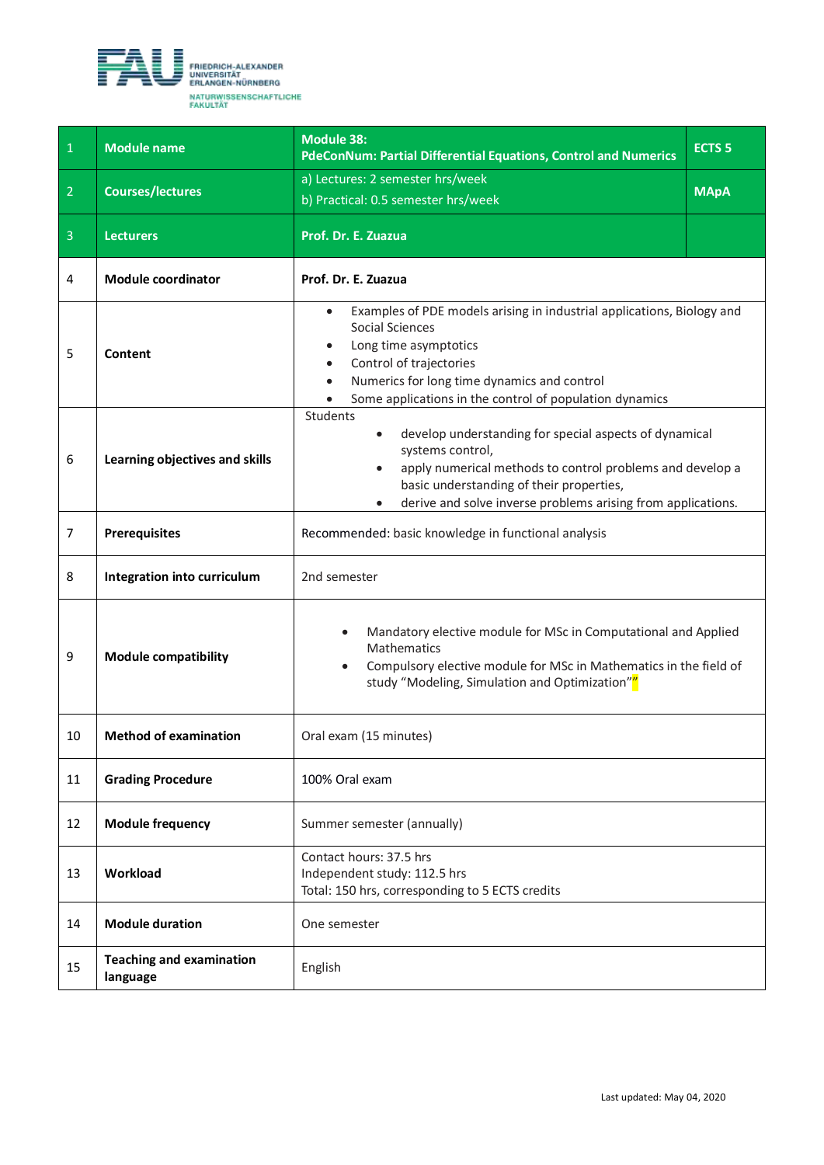<span id="page-20-0"></span>

| $\mathbf{1}$   | <b>Module name</b>                          | <b>Module 38:</b><br><b>PdeConNum: Partial Differential Equations, Control and Numerics</b>                                                                                                                                                                                                                        | <b>ECTS 5</b> |
|----------------|---------------------------------------------|--------------------------------------------------------------------------------------------------------------------------------------------------------------------------------------------------------------------------------------------------------------------------------------------------------------------|---------------|
| $\overline{2}$ | <b>Courses/lectures</b>                     | a) Lectures: 2 semester hrs/week<br>b) Practical: 0.5 semester hrs/week                                                                                                                                                                                                                                            | <b>MApA</b>   |
| $\overline{3}$ | <b>Lecturers</b>                            | Prof. Dr. E. Zuazua                                                                                                                                                                                                                                                                                                |               |
| 4              | <b>Module coordinator</b>                   | Prof. Dr. E. Zuazua                                                                                                                                                                                                                                                                                                |               |
| 5              | Content                                     | Examples of PDE models arising in industrial applications, Biology and<br>$\bullet$<br><b>Social Sciences</b><br>Long time asymptotics<br>$\bullet$<br>Control of trajectories<br>$\bullet$<br>Numerics for long time dynamics and control<br>$\bullet$<br>Some applications in the control of population dynamics |               |
| 6              | Learning objectives and skills              | Students<br>develop understanding for special aspects of dynamical<br>systems control,<br>apply numerical methods to control problems and develop a<br>basic understanding of their properties,<br>derive and solve inverse problems arising from applications.                                                    |               |
| $\overline{7}$ | <b>Prerequisites</b>                        | Recommended: basic knowledge in functional analysis                                                                                                                                                                                                                                                                |               |
| 8              | Integration into curriculum                 | 2nd semester                                                                                                                                                                                                                                                                                                       |               |
| 9              | <b>Module compatibility</b>                 | Mandatory elective module for MSc in Computational and Applied<br>Mathematics<br>Compulsory elective module for MSc in Mathematics in the field of<br>$\bullet$<br>study "Modeling, Simulation and Optimization""                                                                                                  |               |
| 10             | <b>Method of examination</b>                | Oral exam (15 minutes)                                                                                                                                                                                                                                                                                             |               |
| 11             | <b>Grading Procedure</b>                    | 100% Oral exam                                                                                                                                                                                                                                                                                                     |               |
| 12             | <b>Module frequency</b>                     | Summer semester (annually)                                                                                                                                                                                                                                                                                         |               |
| 13             | Workload                                    | Contact hours: 37.5 hrs<br>Independent study: 112.5 hrs<br>Total: 150 hrs, corresponding to 5 ECTS credits                                                                                                                                                                                                         |               |
| 14             | <b>Module duration</b>                      | One semester                                                                                                                                                                                                                                                                                                       |               |
| 15             | <b>Teaching and examination</b><br>language | English                                                                                                                                                                                                                                                                                                            |               |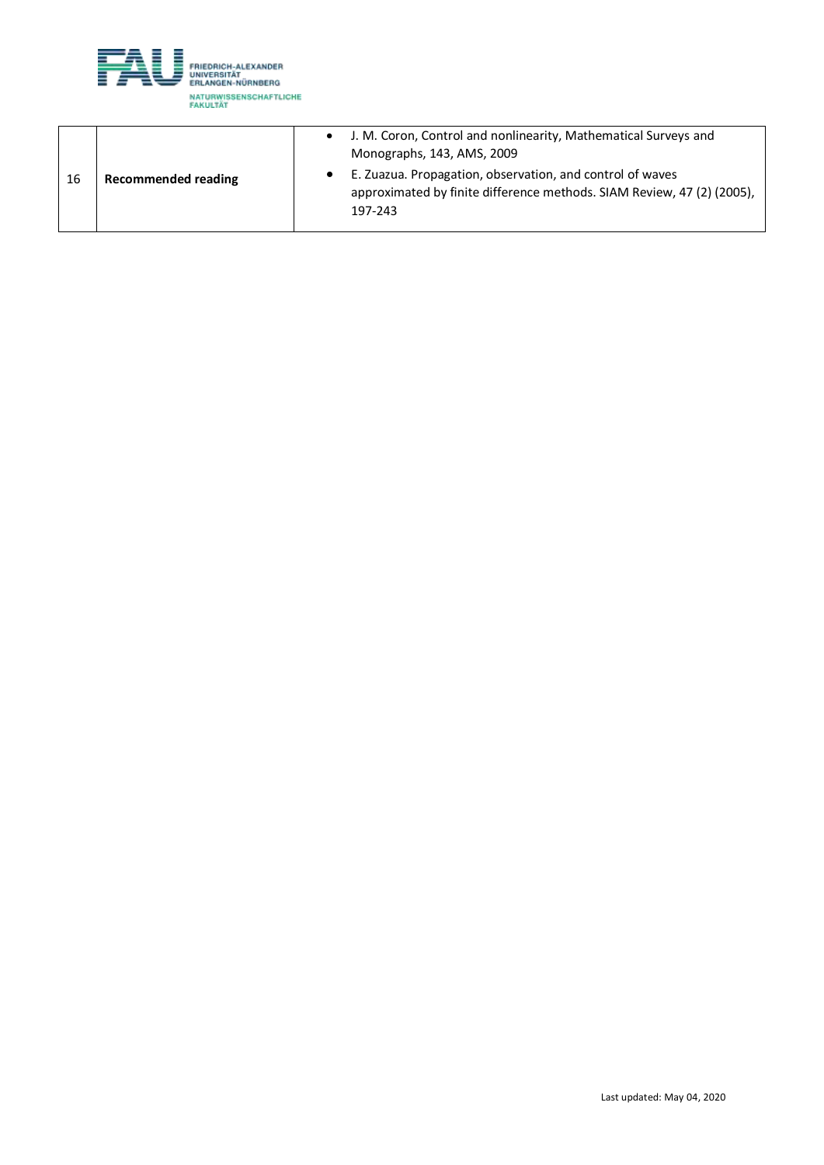

|    |                            | J. M. Coron, Control and nonlinearity, Mathematical Surveys and<br>Monographs, 143, AMS, 2009                                                  |
|----|----------------------------|------------------------------------------------------------------------------------------------------------------------------------------------|
| 16 | <b>Recommended reading</b> | E. Zuazua. Propagation, observation, and control of waves<br>approximated by finite difference methods. SIAM Review, 47 (2) (2005),<br>197-243 |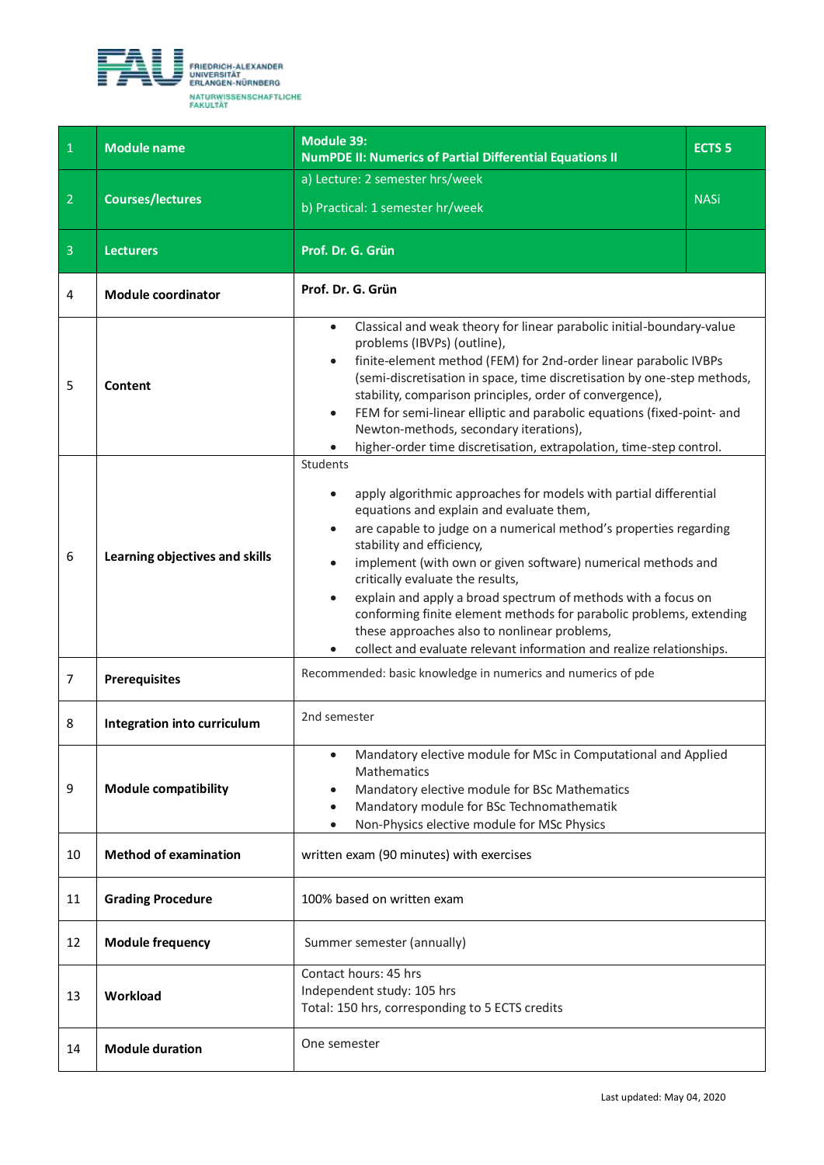<span id="page-22-0"></span>

| $\mathbf 1$    | <b>Module name</b>             | <b>Module 39:</b><br><b>NumPDE II: Numerics of Partial Differential Equations II</b>                                                                                                                                                                                                                                                                                                                                                                                                                                                                                                                         | ECTS <sub>5</sub> |
|----------------|--------------------------------|--------------------------------------------------------------------------------------------------------------------------------------------------------------------------------------------------------------------------------------------------------------------------------------------------------------------------------------------------------------------------------------------------------------------------------------------------------------------------------------------------------------------------------------------------------------------------------------------------------------|-------------------|
|                |                                | a) Lecture: 2 semester hrs/week                                                                                                                                                                                                                                                                                                                                                                                                                                                                                                                                                                              |                   |
| $\overline{2}$ | <b>Courses/lectures</b>        | b) Practical: 1 semester hr/week                                                                                                                                                                                                                                                                                                                                                                                                                                                                                                                                                                             | <b>NASi</b>       |
| $\overline{3}$ | <b>Lecturers</b>               | Prof. Dr. G. Grün                                                                                                                                                                                                                                                                                                                                                                                                                                                                                                                                                                                            |                   |
| 4              | <b>Module coordinator</b>      | Prof. Dr. G. Grün                                                                                                                                                                                                                                                                                                                                                                                                                                                                                                                                                                                            |                   |
| 5              | Content                        | Classical and weak theory for linear parabolic initial-boundary-value<br>$\bullet$<br>problems (IBVPs) (outline),<br>finite-element method (FEM) for 2nd-order linear parabolic IVBPs<br>$\bullet$<br>(semi-discretisation in space, time discretisation by one-step methods,<br>stability, comparison principles, order of convergence),<br>FEM for semi-linear elliptic and parabolic equations (fixed-point- and<br>$\bullet$<br>Newton-methods, secondary iterations),<br>higher-order time discretisation, extrapolation, time-step control.                                                            |                   |
| 6              | Learning objectives and skills | Students<br>apply algorithmic approaches for models with partial differential<br>equations and explain and evaluate them,<br>are capable to judge on a numerical method's properties regarding<br>$\bullet$<br>stability and efficiency,<br>implement (with own or given software) numerical methods and<br>critically evaluate the results,<br>explain and apply a broad spectrum of methods with a focus on<br>conforming finite element methods for parabolic problems, extending<br>these approaches also to nonlinear problems,<br>collect and evaluate relevant information and realize relationships. |                   |
| 7              | <b>Prerequisites</b>           | Recommended: basic knowledge in numerics and numerics of pde                                                                                                                                                                                                                                                                                                                                                                                                                                                                                                                                                 |                   |
| 8              | Integration into curriculum    | 2nd semester                                                                                                                                                                                                                                                                                                                                                                                                                                                                                                                                                                                                 |                   |
| 9              | <b>Module compatibility</b>    | Mandatory elective module for MSc in Computational and Applied<br>Mathematics<br>Mandatory elective module for BSc Mathematics<br>Mandatory module for BSc Technomathematik<br>$\bullet$<br>Non-Physics elective module for MSc Physics<br>٠                                                                                                                                                                                                                                                                                                                                                                 |                   |
| 10             | <b>Method of examination</b>   | written exam (90 minutes) with exercises                                                                                                                                                                                                                                                                                                                                                                                                                                                                                                                                                                     |                   |
| 11             | <b>Grading Procedure</b>       | 100% based on written exam                                                                                                                                                                                                                                                                                                                                                                                                                                                                                                                                                                                   |                   |
| 12             | <b>Module frequency</b>        | Summer semester (annually)                                                                                                                                                                                                                                                                                                                                                                                                                                                                                                                                                                                   |                   |
| 13             | Workload                       | Contact hours: 45 hrs<br>Independent study: 105 hrs<br>Total: 150 hrs, corresponding to 5 ECTS credits                                                                                                                                                                                                                                                                                                                                                                                                                                                                                                       |                   |
| 14             | <b>Module duration</b>         | One semester                                                                                                                                                                                                                                                                                                                                                                                                                                                                                                                                                                                                 |                   |